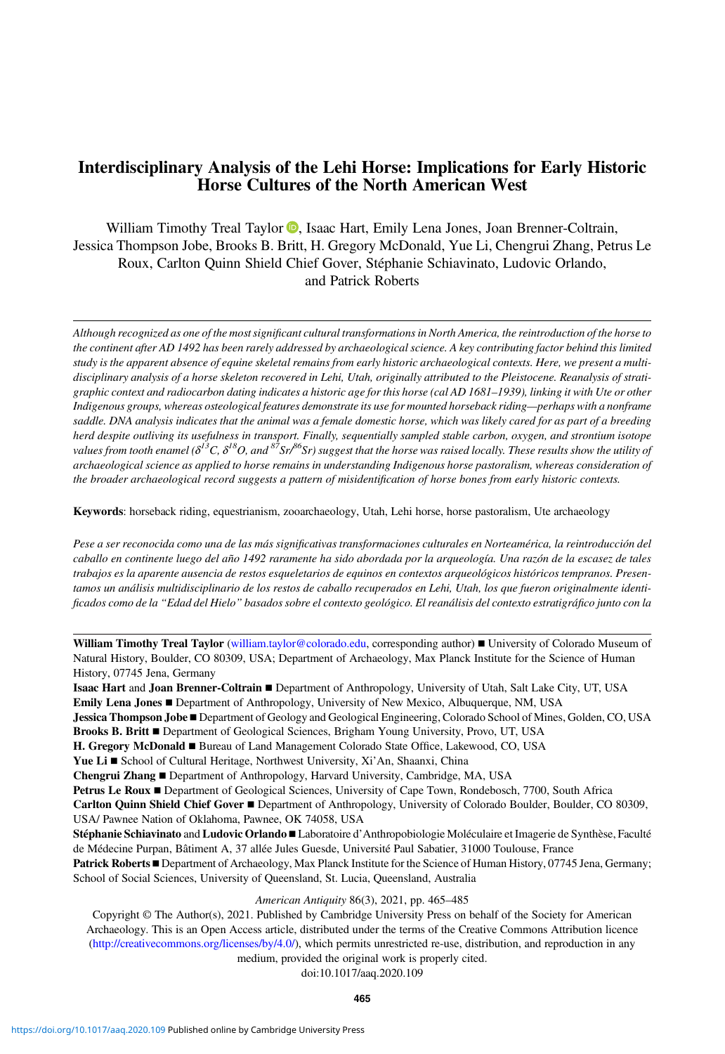# Interdisciplinary Analysis of the Lehi Horse: Implications for Early Historic Horse Cultures of the North American West

William Timothy Treal Taylor  $\bullet$ [,](https://orcid.org/0000-0002-0836-7814) Isaac Hart, Emily Lena Jones, Joan Brenner-Coltrain, Jessica Thompson Jobe, Brooks B. Britt, H. Gregory McDonald, Yue Li, Chengrui Zhang, Petrus Le Roux, Carlton Quinn Shield Chief Gover, Stéphanie Schiavinato, Ludovic Orlando, and Patrick Roberts

Although recognized as one of the most significant cultural transformations in North America, the reintroduction of the horse to the continent after AD 1492 has been rarely addressed by archaeological science. A key contributing factor behind this limited study is the apparent absence of equine skeletal remains from early historic archaeological contexts. Here, we present a multidisciplinary analysis of a horse skeleton recovered in Lehi, Utah, originally attributed to the Pleistocene. Reanalysis of stratigraphic context and radiocarbon dating indicates a historic age for this horse (cal AD 1681–1939), linking it with Ute or other Indigenous groups, whereas osteological features demonstrate its use for mounted horseback riding—perhaps with a nonframe saddle. DNA analysis indicates that the animal was a female domestic horse, which was likely cared for as part of a breeding herd despite outliving its usefulness in transport. Finally, sequentially sampled stable carbon, oxygen, and strontium isotope values from tooth enamel ( $\delta^{13}C$ ,  $\delta^{18}O$ , and  ${}^{87}Sr^{86}Sr$ ) suggest that the horse was raised locally. These results show the utility of archaeological science as applied to horse remains in understanding Indigenous horse pastoralism, whereas consideration of the broader archaeological record suggests a pattern of misidentification of horse bones from early historic contexts.

Keywords: horseback riding, equestrianism, zooarchaeology, Utah, Lehi horse, horse pastoralism, Ute archaeology

Pese a ser reconocida como una de las más significativas transformaciones culturales en Norteamérica, la reintroducción del caballo en continente luego del año 1492 raramente ha sido abordada por la arqueología. Una razón de la escasez de tales trabajos es la aparente ausencia de restos esqueletarios de equinos en contextos arqueológicos históricos tempranos. Presentamos un análisis multidisciplinario de los restos de caballo recuperados en Lehi, Utah, los que fueron originalmente identificados como de la "Edad del Hielo" basados sobre el contexto geológico. El reanálisis del contexto estratigráfico junto con la

William Timothy Treal Taylor ([william.taylor@colorado.edu](mailto:william.taylor@colorado.edu), corresponding author) ■ University of Colorado Museum of Natural History, Boulder, CO 80309, USA; Department of Archaeology, Max Planck Institute for the Science of Human History, 07745 Jena, Germany

Isaac Hart and Joan Brenner-Coltrain ▪ Department of Anthropology, University of Utah, Salt Lake City, UT, USA Emily Lena Jones ▪ Department of Anthropology, University of New Mexico, Albuquerque, NM, USA

Jessica Thompson Jobe ▪ Department of Geology and Geological Engineering, Colorado School of Mines, Golden, CO, USA

Brooks B. Britt **E** Department of Geological Sciences, Brigham Young University, Provo, UT, USA

H. Gregory McDonald ■ Bureau of Land Management Colorado State Office, Lakewood, CO, USA

Yue Li ■ School of Cultural Heritage, Northwest University, Xi'An, Shaanxi, China

Chengrui Zhang ▪ Department of Anthropology, Harvard University, Cambridge, MA, USA

Petrus Le Roux ■ Department of Geological Sciences, University of Cape Town, Rondebosch, 7700, South Africa

Carlton Quinn Shield Chief Gover ▪ Department of Anthropology, University of Colorado Boulder, Boulder, CO 80309, USA/ Pawnee Nation of Oklahoma, Pawnee, OK 74058, USA

Stéphanie Schiavinato and Ludovic Orlando ■ Laboratoire d'Anthropobiologie Moléculaire et Imagerie de Synthèse, Faculté de Médecine Purpan, Bâtiment A, 37 allée Jules Guesde, Université Paul Sabatier, 31000 Toulouse, France

Patrick Roberts ■ Department of Archaeology, Max Planck Institute for the Science of Human History, 07745 Jena, Germany; School of Social Sciences, University of Queensland, St. Lucia, Queensland, Australia

### American Antiquity 86(3), 2021, pp. 465–485

Copyright © The Author(s), 2021. Published by Cambridge University Press on behalf of the Society for American Archaeology. This is an Open Access article, distributed under the terms of the Creative Commons Attribution licence [\(http://creativecommons.org/licenses/by/4.0/](http://creativecommons.org/licenses/by/4.0/)), which permits unrestricted re-use, distribution, and reproduction in any medium, provided the original work is properly cited.

doi:10.1017/aaq.2020.109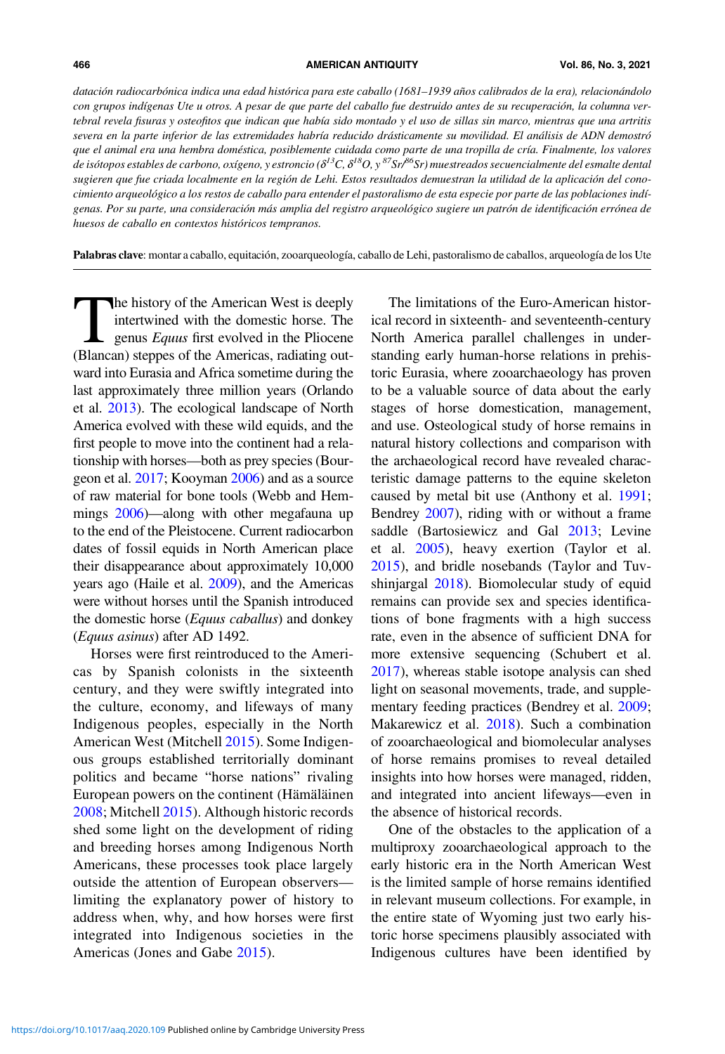datación radiocarbónica indica una edad histórica para este caballo (1681–1939 años calibrados de la era), relacionándolo con grupos indígenas Ute u otros. A pesar de que parte del caballo fue destruido antes de su recuperación, la columna vertebral revela fisuras y osteofitos que indican que había sido montado y el uso de sillas sin marco, mientras que una artritis severa en la parte inferior de las extremidades habría reducido drásticamente su movilidad. El análisis de ADN demostró que el animal era una hembra doméstica, posiblemente cuidada como parte de una tropilla de cría. Finalmente, los valores de isótopos estables de carbono, oxígeno, y estroncio ( $\delta^{13}C$ ,  $\delta^{18}O$ , y  ${}^{87}Sr$ / ${}^{86}Sr$ ) muestreados secuencialmente del esmalte dental sugieren que fue criada localmente en la región de Lehi. Estos resultados demuestran la utilidad de la aplicación del conocimiento arqueológico a los restos de caballo para entender el pastoralismo de esta especie por parte de las poblaciones indígenas. Por su parte, una consideración más amplia del registro arqueológico sugiere un patrón de identificación errónea de huesos de caballo en contextos históricos tempranos.

Palabras clave: montar a caballo, equitación, zooarqueología, caballo de Lehi, pastoralismo de caballos, arqueología de los Ute

The history of the American West is deeply<br>intertwined with the domestic horse. The<br>genus Equus first evolved in the Pliocene<br>(Blancan) steppes of the Americas radiating outintertwined with the domestic horse. The genus  $Equus$  first evolved in the Pliocene (Blancan) steppes of the Americas, radiating outward into Eurasia and Africa sometime during the last approximately three million years (Orlando et al. [2013](#page-18-0)). The ecological landscape of North America evolved with these wild equids, and the first people to move into the continent had a relationship with horses—both as prey species (Bourgeon et al. [2017;](#page-16-0) Kooyman [2006](#page-17-0)) and as a source of raw material for bone tools (Webb and Hemmings [2006](#page-20-0))—along with other megafauna up to the end of the Pleistocene. Current radiocarbon dates of fossil equids in North American place their disappearance about approximately 10,000 years ago (Haile et al. [2009](#page-17-0)), and the Americas were without horses until the Spanish introduced the domestic horse (Equus caballus) and donkey (Equus asinus) after AD 1492.

Horses were first reintroduced to the Americas by Spanish colonists in the sixteenth century, and they were swiftly integrated into the culture, economy, and lifeways of many Indigenous peoples, especially in the North American West (Mitchell [2015](#page-18-0)). Some Indigenous groups established territorially dominant politics and became "horse nations" rivaling European powers on the continent (Hämäläinen [2008](#page-17-0); Mitchell [2015\)](#page-18-0). Although historic records shed some light on the development of riding and breeding horses among Indigenous North Americans, these processes took place largely outside the attention of European observers limiting the explanatory power of history to address when, why, and how horses were first integrated into Indigenous societies in the Americas (Jones and Gabe [2015](#page-17-0)).

The limitations of the Euro-American historical record in sixteenth- and seventeenth-century North America parallel challenges in understanding early human-horse relations in prehistoric Eurasia, where zooarchaeology has proven to be a valuable source of data about the early stages of horse domestication, management, and use. Osteological study of horse remains in natural history collections and comparison with the archaeological record have revealed characteristic damage patterns to the equine skeleton caused by metal bit use (Anthony et al. [1991](#page-16-0); Bendrey [2007](#page-16-0)), riding with or without a frame saddle (Bartosiewicz and Gal [2013](#page-16-0); Levine et al. [2005\)](#page-18-0), heavy exertion (Taylor et al. [2015\)](#page-19-0), and bridle nosebands (Taylor and Tuvshinjargal [2018\)](#page-20-0). Biomolecular study of equid remains can provide sex and species identifications of bone fragments with a high success rate, even in the absence of sufficient DNA for more extensive sequencing (Schubert et al. [2017\)](#page-19-0), whereas stable isotope analysis can shed light on seasonal movements, trade, and supplementary feeding practices (Bendrey et al. [2009](#page-16-0); Makarewicz et al. [2018](#page-18-0)). Such a combination of zooarchaeological and biomolecular analyses of horse remains promises to reveal detailed insights into how horses were managed, ridden, and integrated into ancient lifeways—even in the absence of historical records.

One of the obstacles to the application of a multiproxy zooarchaeological approach to the early historic era in the North American West is the limited sample of horse remains identified in relevant museum collections. For example, in the entire state of Wyoming just two early historic horse specimens plausibly associated with Indigenous cultures have been identified by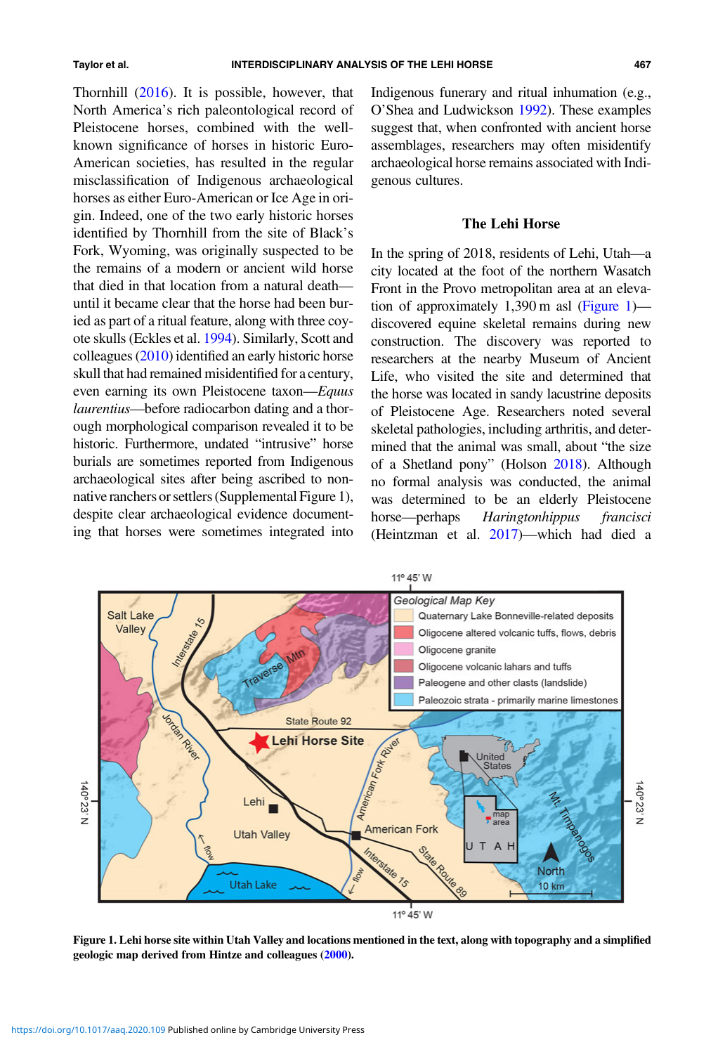<span id="page-2-0"></span>Thornhill [\(2016](#page-20-0)). It is possible, however, that North America's rich paleontological record of Pleistocene horses, combined with the wellknown significance of horses in historic Euro-American societies, has resulted in the regular misclassification of Indigenous archaeological horses as either Euro-American or Ice Age in origin. Indeed, one of the two early historic horses identified by Thornhill from the site of Black's Fork, Wyoming, was originally suspected to be the remains of a modern or ancient wild horse that died in that location from a natural death until it became clear that the horse had been buried as part of a ritual feature, along with three coyote skulls (Eckles et al. [1994](#page-16-0)). Similarly, Scott and colleagues  $(2010)$  $(2010)$  $(2010)$  identified an early historic horse skull that had remained misidentified for a century, even earning its own Pleistocene taxon—Equus laurentius—before radiocarbon dating and a thorough morphological comparison revealed it to be historic. Furthermore, undated "intrusive" horse burials are sometimes reported from Indigenous archaeological sites after being ascribed to nonnative ranchers or settlers (Supplemental Figure 1), despite clear archaeological evidence documenting that horses were sometimes integrated into

Indigenous funerary and ritual inhumation (e.g., O'Shea and Ludwickson [1992\)](#page-19-0). These examples suggest that, when confronted with ancient horse assemblages, researchers may often misidentify archaeological horse remains associated with Indigenous cultures.

### The Lehi Horse

In the spring of 2018, residents of Lehi, Utah—a city located at the foot of the northern Wasatch Front in the Provo metropolitan area at an elevation of approximately 1,390 m asl (Figure 1) discovered equine skeletal remains during new construction. The discovery was reported to researchers at the nearby Museum of Ancient Life, who visited the site and determined that the horse was located in sandy lacustrine deposits of Pleistocene Age. Researchers noted several skeletal pathologies, including arthritis, and determined that the animal was small, about "the size of a Shetland pony" (Holson [2018\)](#page-17-0). Although no formal analysis was conducted, the animal was determined to be an elderly Pleistocene horse—perhaps Haringtonhippus francisci (Heintzman et al. [2017\)](#page-17-0)—which had died a



Figure 1. Lehi horse site within Utah Valley and locations mentioned in the text, along with topography and a simplified geologic map derived from Hintze and colleagues [\(2000](#page-17-0)).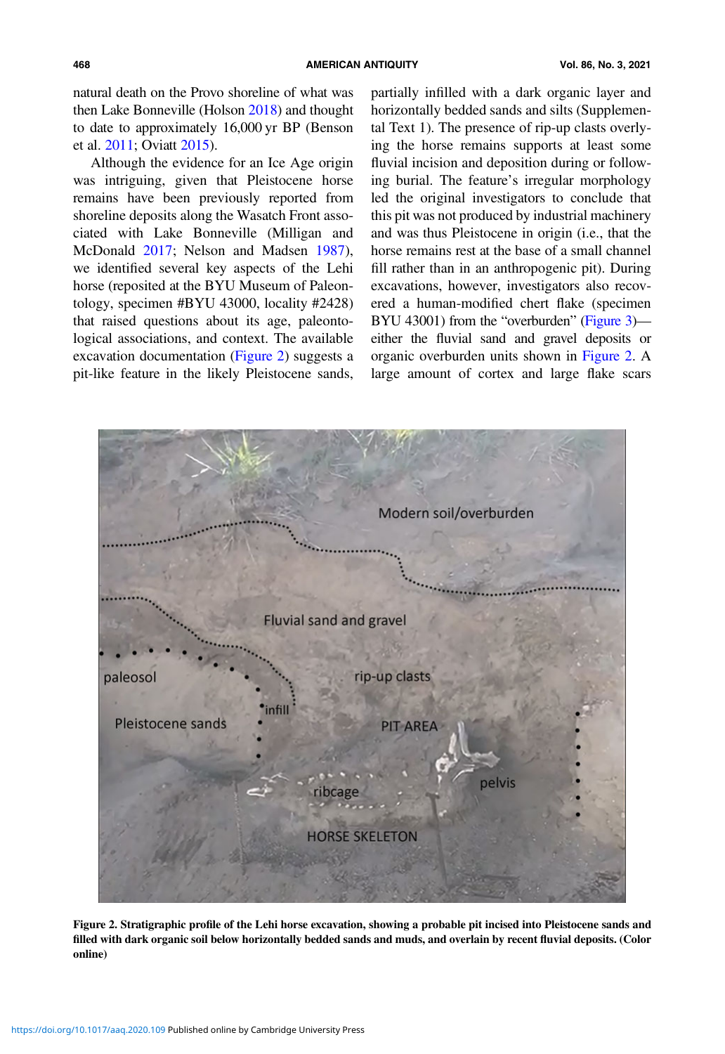natural death on the Provo shoreline of what was then Lake Bonneville (Holson [2018](#page-17-0)) and thought to date to approximately 16,000 yr BP (Benson et al. [2011](#page-16-0); Oviatt [2015](#page-19-0)).

Although the evidence for an Ice Age origin was intriguing, given that Pleistocene horse remains have been previously reported from shoreline deposits along the Wasatch Front associated with Lake Bonneville (Milligan and McDonald [2017;](#page-18-0) Nelson and Madsen [1987\)](#page-18-0), we identified several key aspects of the Lehi horse (reposited at the BYU Museum of Paleontology, specimen #BYU 43000, locality #2428) that raised questions about its age, paleontological associations, and context. The available excavation documentation (Figure 2) suggests a pit-like feature in the likely Pleistocene sands,

partially infilled with a dark organic layer and horizontally bedded sands and silts (Supplemental Text 1). The presence of rip-up clasts overlying the horse remains supports at least some fluvial incision and deposition during or following burial. The feature's irregular morphology led the original investigators to conclude that this pit was not produced by industrial machinery and was thus Pleistocene in origin (i.e., that the horse remains rest at the base of a small channel fill rather than in an anthropogenic pit). During excavations, however, investigators also recovered a human-modified chert flake (specimen BYU 43001) from the "overburden" ([Figure 3\)](#page-4-0) either the fluvial sand and gravel deposits or organic overburden units shown in Figure 2. A large amount of cortex and large flake scars



Figure 2. Stratigraphic profile of the Lehi horse excavation, showing a probable pit incised into Pleistocene sands and filled with dark organic soil below horizontally bedded sands and muds, and overlain by recent fluvial deposits. (Color online)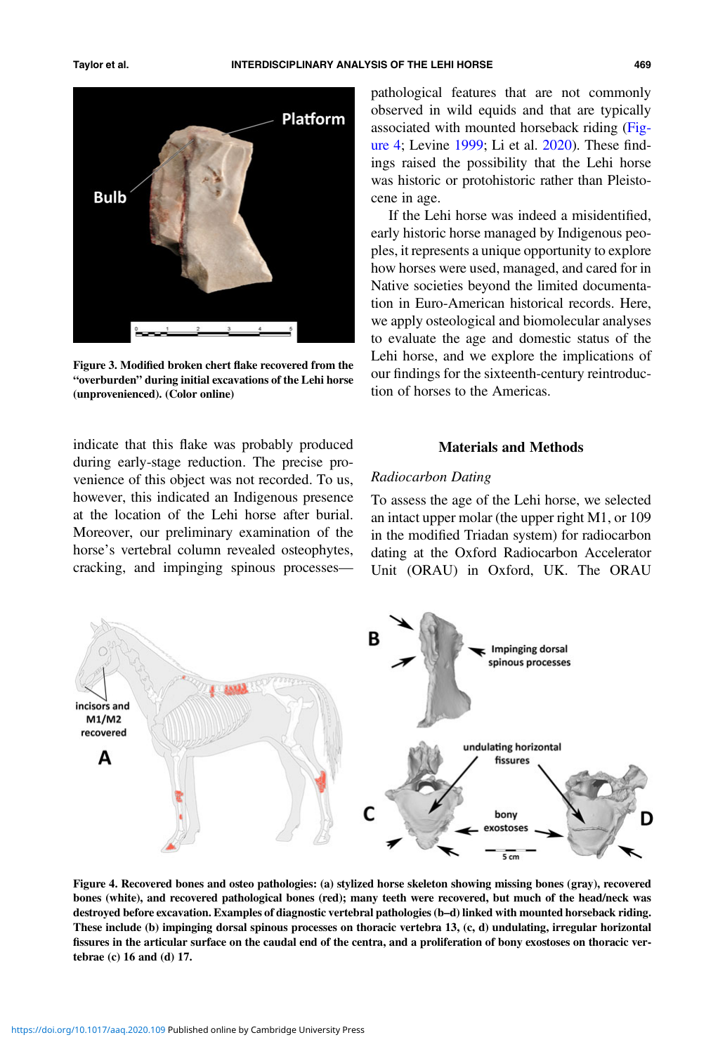<span id="page-4-0"></span>



Figure 3. Modified broken chert flake recovered from the "overburden" during initial excavations of the Lehi horse (unprovenienced). (Color online)

indicate that this flake was probably produced during early-stage reduction. The precise provenience of this object was not recorded. To us, however, this indicated an Indigenous presence at the location of the Lehi horse after burial. Moreover, our preliminary examination of the horse's vertebral column revealed osteophytes, cracking, and impinging spinous processespathological features that are not commonly observed in wild equids and that are typically associated with mounted horseback riding (Figure 4; Levine [1999](#page-18-0); Li et al. [2020\)](#page-18-0). These findings raised the possibility that the Lehi horse was historic or protohistoric rather than Pleistocene in age.

If the Lehi horse was indeed a misidentified, early historic horse managed by Indigenous peoples, it represents a unique opportunity to explore how horses were used, managed, and cared for in Native societies beyond the limited documentation in Euro-American historical records. Here, we apply osteological and biomolecular analyses to evaluate the age and domestic status of the Lehi horse, and we explore the implications of our findings for the sixteenth-century reintroduction of horses to the Americas.

## Materials and Methods

## Radiocarbon Dating

To assess the age of the Lehi horse, we selected an intact upper molar (the upper right M1, or 109 in the modified Triadan system) for radiocarbon dating at the Oxford Radiocarbon Accelerator Unit (ORAU) in Oxford, UK. The ORAU



Figure 4. Recovered bones and osteo pathologies: (a) stylized horse skeleton showing missing bones (gray), recovered bones (white), and recovered pathological bones (red); many teeth were recovered, but much of the head/neck was destroyed before excavation. Examples of diagnostic vertebral pathologies (b–d) linked with mounted horseback riding. These include (b) impinging dorsal spinous processes on thoracic vertebra 13, (c, d) undulating, irregular horizontal fissures in the articular surface on the caudal end of the centra, and a proliferation of bony exostoses on thoracic vertebrae (c) 16 and (d) 17.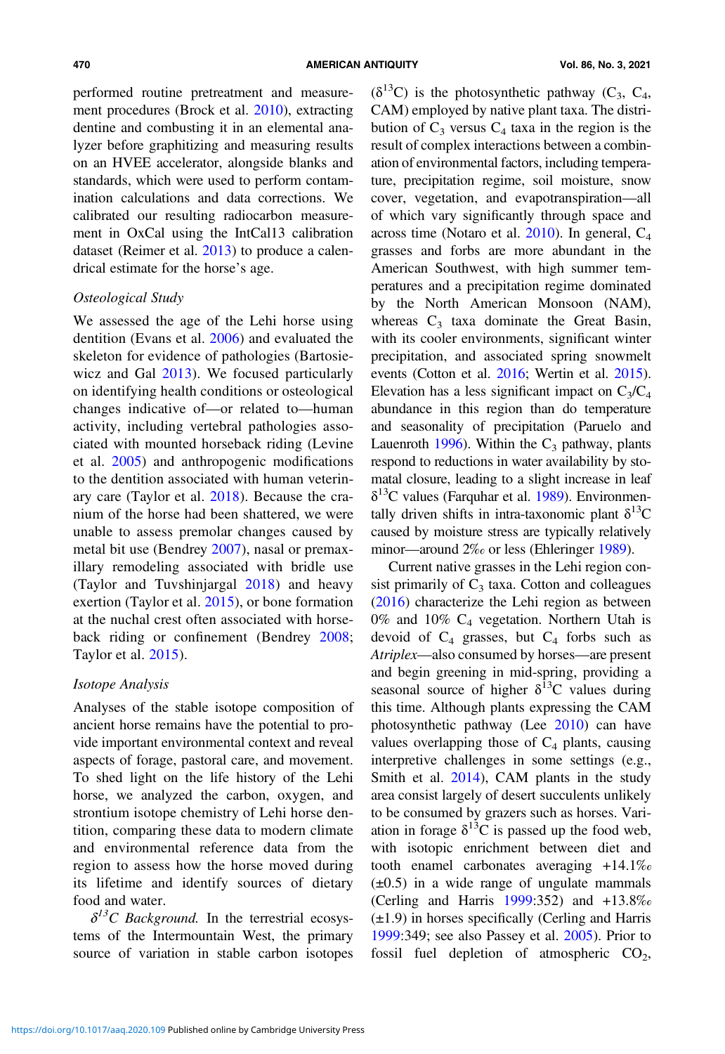performed routine pretreatment and measurement procedures (Brock et al. [2010](#page-16-0)), extracting dentine and combusting it in an elemental analyzer before graphitizing and measuring results on an HVEE accelerator, alongside blanks and standards, which were used to perform contamination calculations and data corrections. We calibrated our resulting radiocarbon measurement in OxCal using the IntCal13 calibration dataset (Reimer et al. [2013](#page-19-0)) to produce a calendrical estimate for the horse's age.

## Osteological Study

We assessed the age of the Lehi horse using dentition (Evans et al. [2006\)](#page-16-0) and evaluated the skeleton for evidence of pathologies (Bartosiewicz and Gal [2013](#page-16-0)). We focused particularly on identifying health conditions or osteological changes indicative of—or related to—human activity, including vertebral pathologies associated with mounted horseback riding (Levine et al. [2005\)](#page-18-0) and anthropogenic modifications to the dentition associated with human veterinary care (Taylor et al. [2018\)](#page-19-0). Because the cranium of the horse had been shattered, we were unable to assess premolar changes caused by metal bit use (Bendrey [2007\)](#page-16-0), nasal or premaxillary remodeling associated with bridle use (Taylor and Tuvshinjargal [2018](#page-20-0)) and heavy exertion (Taylor et al. [2015](#page-19-0)), or bone formation at the nuchal crest often associated with horseback riding or confinement (Bendrey [2008;](#page-16-0) Taylor et al. [2015](#page-19-0)).

## Isotope Analysis

Analyses of the stable isotope composition of ancient horse remains have the potential to provide important environmental context and reveal aspects of forage, pastoral care, and movement. To shed light on the life history of the Lehi horse, we analyzed the carbon, oxygen, and strontium isotope chemistry of Lehi horse dentition, comparing these data to modern climate and environmental reference data from the region to assess how the horse moved during its lifetime and identify sources of dietary food and water.

 $\delta^{13}$ C Background. In the terrestrial ecosystems of the Intermountain West, the primary source of variation in stable carbon isotopes  $(\delta^{13}C)$  is the photosynthetic pathway  $(C_3, C_4,$ CAM) employed by native plant taxa. The distribution of  $C_3$  versus  $C_4$  taxa in the region is the result of complex interactions between a combination of environmental factors, including temperature, precipitation regime, soil moisture, snow cover, vegetation, and evapotranspiration—all of which vary significantly through space and across time (Notaro et al.  $2010$ ). In general,  $C_4$ grasses and forbs are more abundant in the American Southwest, with high summer temperatures and a precipitation regime dominated by the North American Monsoon (NAM), whereas  $C_3$  taxa dominate the Great Basin, with its cooler environments, significant winter precipitation, and associated spring snowmelt events (Cotton et al. [2016;](#page-16-0) Wertin et al. [2015](#page-20-0)). Elevation has a less significant impact on  $C_3/C_4$ abundance in this region than do temperature and seasonality of precipitation (Paruelo and Lauenroth [1996](#page-19-0)). Within the  $C_3$  pathway, plants respond to reductions in water availability by stomatal closure, leading to a slight increase in leaf  $\delta^{13}$ C values (Farquhar et al. [1989](#page-17-0)). Environmentally driven shifts in intra-taxonomic plant  $\delta^{13}C$ caused by moisture stress are typically relatively minor—around 2‰ or less (Ehleringer [1989](#page-16-0)).

Current native grasses in the Lehi region consist primarily of  $C_3$  taxa. Cotton and colleagues ([2016\)](#page-16-0) characterize the Lehi region as between 0% and 10%  $C_4$  vegetation. Northern Utah is devoid of  $C_4$  grasses, but  $C_4$  forbs such as Atriplex—also consumed by horses—are present and begin greening in mid-spring, providing a seasonal source of higher  $\delta^{13}$ C values during this time. Although plants expressing the CAM photosynthetic pathway (Lee [2010\)](#page-18-0) can have values overlapping those of  $C_4$  plants, causing interpretive challenges in some settings (e.g., Smith et al. [2014](#page-19-0)), CAM plants in the study area consist largely of desert succulents unlikely to be consumed by grazers such as horses. Variation in forage  $\delta^{13}$ C is passed up the food web, with isotopic enrichment between diet and tooth enamel carbonates averaging +14.1‰  $(\pm 0.5)$  in a wide range of ungulate mammals (Cerling and Harris [1999:](#page-16-0)352) and +13.8‰ (±1.9) in horses specifically (Cerling and Harris [1999:](#page-16-0)349; see also Passey et al. [2005](#page-19-0)). Prior to fossil fuel depletion of atmospheric  $CO<sub>2</sub>$ ,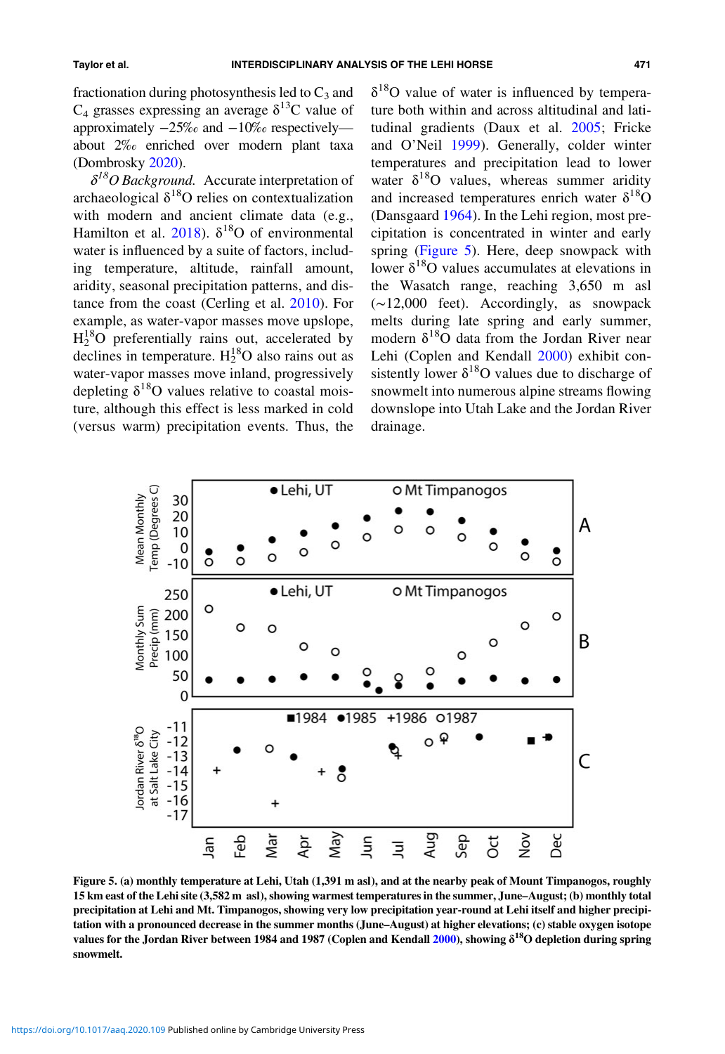fractionation during photosynthesis led to  $C_3$  and  $C_4$  grasses expressing an average  $\delta^{13}$ C value of approximately −25‰ and −10‰ respectively about 2‰ enriched over modern plant taxa (Dombrosky [2020](#page-16-0)).

 $\delta^{18}O$  Background. Accurate interpretation of archaeological  $\delta^{18}O$  relies on contextualization with modern and ancient climate data (e.g., Hamilton et al. [2018](#page-17-0)).  $\delta^{18}$ O of environmental water is influenced by a suite of factors, including temperature, altitude, rainfall amount, aridity, seasonal precipitation patterns, and distance from the coast (Cerling et al. [2010](#page-16-0)). For example, as water-vapor masses move upslope,  $H_2^{18}O$  preferentially rains out, accelerated by declines in temperature.  $H_2^{18}O$  also rains out as water-vapor masses move inland, progressively depleting  $\delta^{18}$ O values relative to coastal moisture, although this effect is less marked in cold (versus warm) precipitation events. Thus, the

 $\delta^{18}$ O value of water is influenced by temperature both within and across altitudinal and latitudinal gradients (Daux et al. [2005;](#page-16-0) Fricke and O'Neil [1999](#page-17-0)). Generally, colder winter temperatures and precipitation lead to lower water  $\delta^{18}$ O values, whereas summer aridity and increased temperatures enrich water  $\delta^{18}$ O (Dansgaard [1964\)](#page-16-0). In the Lehi region, most precipitation is concentrated in winter and early spring (Figure 5). Here, deep snowpack with lower  $\delta^{18}$ O values accumulates at elevations in the Wasatch range, reaching 3,650 m asl (∼12,000 feet). Accordingly, as snowpack melts during late spring and early summer, modern  $\delta^{18}$ O data from the Jordan River near Lehi (Coplen and Kendall [2000\)](#page-16-0) exhibit consistently lower  $\delta^{18}O$  values due to discharge of snowmelt into numerous alpine streams flowing downslope into Utah Lake and the Jordan River drainage.



Figure 5. (a) monthly temperature at Lehi, Utah (1,391 m asl), and at the nearby peak of Mount Timpanogos, roughly 15 km east of the Lehi site (3,582 m asl), showing warmest temperatures in the summer, June–August; (b) monthly total precipitation at Lehi and Mt. Timpanogos, showing very low precipitation year-round at Lehi itself and higher precipitation with a pronounced decrease in the summer months (June–August) at higher elevations; (c) stable oxygen isotope values for the Jordan River between 1984 and 1987 (Coplen and Kendall [2000\)](#page-16-0), showing δ<sup>18</sup>O depletion during spring snowmelt.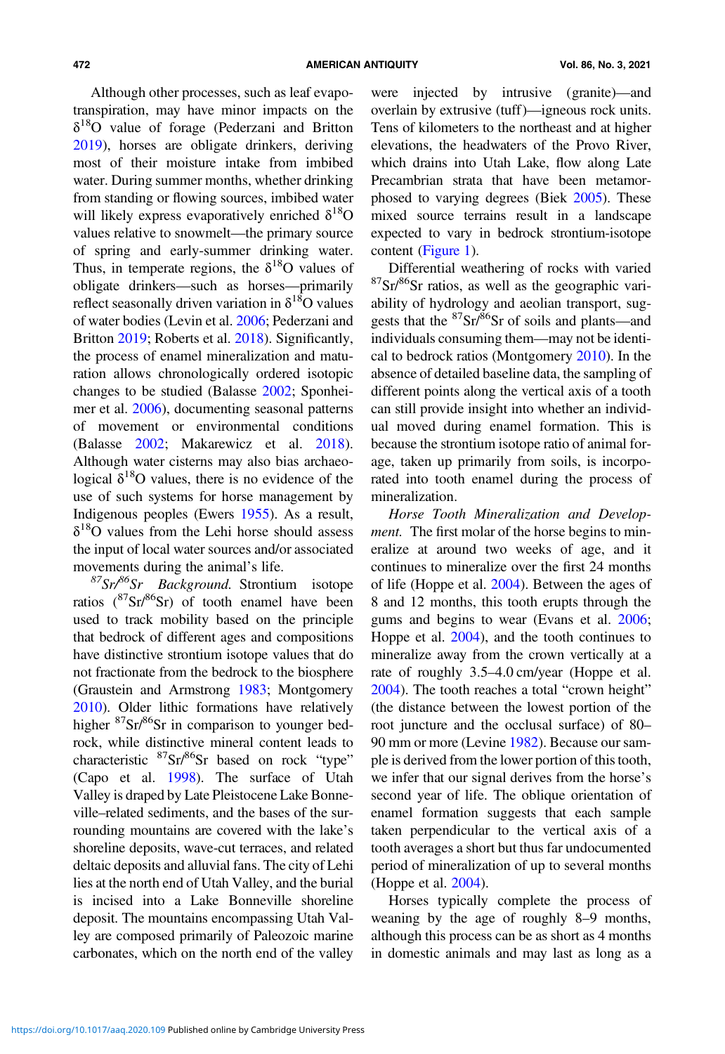Although other processes, such as leaf evapotranspiration, may have minor impacts on the  $\delta^{18}$ O value of forage (Pederzani and Britton [2019](#page-19-0)), horses are obligate drinkers, deriving most of their moisture intake from imbibed water. During summer months, whether drinking from standing or flowing sources, imbibed water will likely express evaporatively enriched  $\delta^{18}O$ values relative to snowmelt—the primary source of spring and early-summer drinking water. Thus, in temperate regions, the  $\delta^{18}$ O values of obligate drinkers—such as horses—primarily reflect seasonally driven variation in  $\delta^{18}$ O values of water bodies (Levin et al. [2006](#page-18-0); Pederzani and Britton [2019;](#page-19-0) Roberts et al. [2018](#page-19-0)). Significantly, the process of enamel mineralization and maturation allows chronologically ordered isotopic changes to be studied (Balasse [2002](#page-16-0); Sponheimer et al. [2006](#page-19-0)), documenting seasonal patterns of movement or environmental conditions (Balasse [2002](#page-16-0); Makarewicz et al. [2018\)](#page-18-0). Although water cisterns may also bias archaeological  $\delta^{18}$ O values, there is no evidence of the use of such systems for horse management by Indigenous peoples (Ewers [1955](#page-16-0)). As a result,  $\delta^{18}$ O values from the Lehi horse should assess the input of local water sources and/or associated movements during the animal's life.

 $87$ Sr/ $86$ Sr Background. Strontium isotope ratios  $(^{87}Sr/^{86}Sr)$  of tooth enamel have been used to track mobility based on the principle that bedrock of different ages and compositions have distinctive strontium isotope values that do not fractionate from the bedrock to the biosphere (Graustein and Armstrong [1983](#page-17-0); Montgomery [2010\)](#page-18-0). Older lithic formations have relatively higher <sup>87</sup>Sr/<sup>86</sup>Sr in comparison to younger bedrock, while distinctive mineral content leads to characteristic  ${}^{87}Sr/{}^{86}Sr$  based on rock "type" (Capo et al. [1998\)](#page-16-0). The surface of Utah Valley is draped by Late Pleistocene Lake Bonneville–related sediments, and the bases of the surrounding mountains are covered with the lake's shoreline deposits, wave-cut terraces, and related deltaic deposits and alluvial fans. The city of Lehi lies at the north end of Utah Valley, and the burial is incised into a Lake Bonneville shoreline deposit. The mountains encompassing Utah Valley are composed primarily of Paleozoic marine carbonates, which on the north end of the valley were injected by intrusive (granite)—and overlain by extrusive (tuff)—igneous rock units. Tens of kilometers to the northeast and at higher elevations, the headwaters of the Provo River, which drains into Utah Lake, flow along Late Precambrian strata that have been metamorphosed to varying degrees (Biek [2005\)](#page-16-0). These mixed source terrains result in a landscape expected to vary in bedrock strontium-isotope content ([Figure 1\)](#page-2-0).

Differential weathering of rocks with varied  $87\text{Sr}/86\text{Sr}$  ratios, as well as the geographic variability of hydrology and aeolian transport, suggests that the <sup>87</sup>Sr/<sup>86</sup>Sr of soils and plants—and individuals consuming them—may not be identical to bedrock ratios (Montgomery [2010\)](#page-18-0). In the absence of detailed baseline data, the sampling of different points along the vertical axis of a tooth can still provide insight into whether an individual moved during enamel formation. This is because the strontium isotope ratio of animal forage, taken up primarily from soils, is incorporated into tooth enamel during the process of mineralization.

Horse Tooth Mineralization and Development. The first molar of the horse begins to mineralize at around two weeks of age, and it continues to mineralize over the first 24 months of life (Hoppe et al. [2004](#page-17-0)). Between the ages of 8 and 12 months, this tooth erupts through the gums and begins to wear (Evans et al. [2006](#page-16-0); Hoppe et al. [2004](#page-17-0)), and the tooth continues to mineralize away from the crown vertically at a rate of roughly 3.5–4.0 cm/year (Hoppe et al. [2004\)](#page-17-0). The tooth reaches a total "crown height" (the distance between the lowest portion of the root juncture and the occlusal surface) of 80– 90 mm or more (Levine [1982\)](#page-18-0). Because our sample is derived from the lower portion of this tooth, we infer that our signal derives from the horse's second year of life. The oblique orientation of enamel formation suggests that each sample taken perpendicular to the vertical axis of a tooth averages a short but thus far undocumented period of mineralization of up to several months (Hoppe et al. [2004](#page-17-0)).

Horses typically complete the process of weaning by the age of roughly 8–9 months, although this process can be as short as 4 months in domestic animals and may last as long as a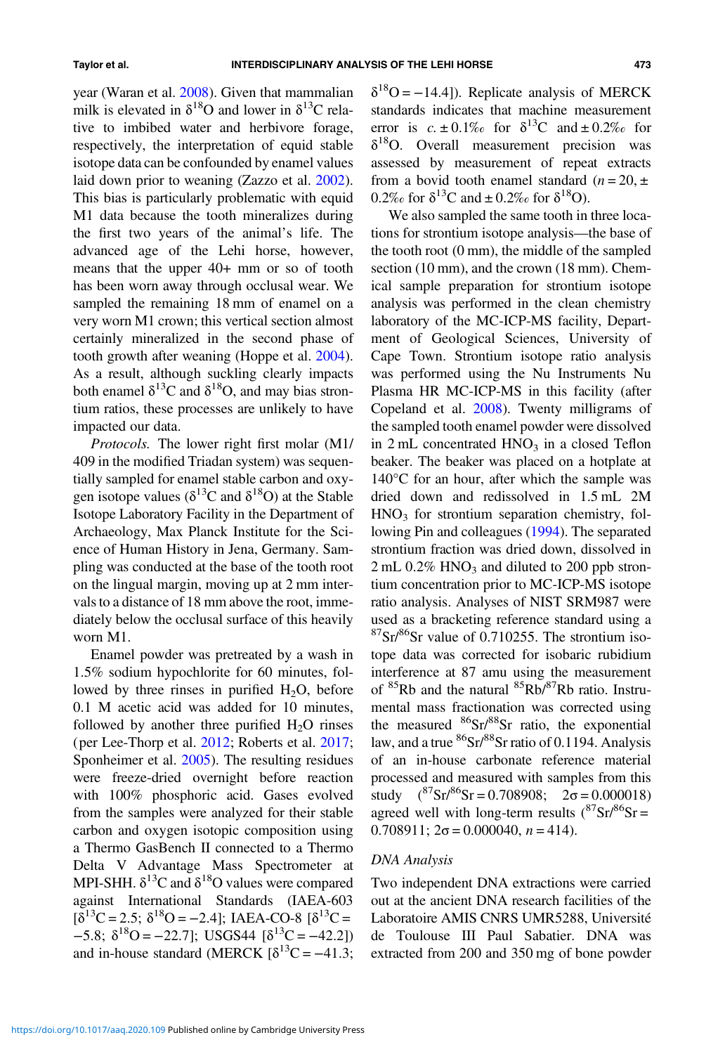year (Waran et al. [2008\)](#page-20-0). Given that mammalian milk is elevated in  $\delta^{18}$ O and lower in  $\delta^{13}$ C relative to imbibed water and herbivore forage, respectively, the interpretation of equid stable isotope data can be confounded by enamel values laid down prior to weaning (Zazzo et al. [2002\)](#page-20-0). This bias is particularly problematic with equid M1 data because the tooth mineralizes during the first two years of the animal's life. The advanced age of the Lehi horse, however, means that the upper 40+ mm or so of tooth has been worn away through occlusal wear. We sampled the remaining 18 mm of enamel on a very worn M1 crown; this vertical section almost certainly mineralized in the second phase of tooth growth after weaning (Hoppe et al. [2004\)](#page-17-0). As a result, although suckling clearly impacts both enamel  $\delta^{13}$ C and  $\delta^{18}$ O, and may bias strontium ratios, these processes are unlikely to have impacted our data.

Protocols. The lower right first molar (M1/ 409 in the modified Triadan system) was sequentially sampled for enamel stable carbon and oxygen isotope values ( $\delta^{13}$ C and  $\delta^{18}$ O) at the Stable Isotope Laboratory Facility in the Department of Archaeology, Max Planck Institute for the Science of Human History in Jena, Germany. Sampling was conducted at the base of the tooth root on the lingual margin, moving up at 2 mm intervals to a distance of 18 mm above the root, immediately below the occlusal surface of this heavily worn M1.

Enamel powder was pretreated by a wash in 1.5% sodium hypochlorite for 60 minutes, followed by three rinses in purified  $H_2O$ , before 0.1 M acetic acid was added for 10 minutes, followed by another three purified  $H_2O$  rinses (per Lee-Thorp et al. [2012](#page-18-0); Roberts et al. [2017;](#page-19-0) Sponheimer et al. [2005](#page-19-0)). The resulting residues were freeze-dried overnight before reaction with 100% phosphoric acid. Gases evolved from the samples were analyzed for their stable carbon and oxygen isotopic composition using a Thermo GasBench II connected to a Thermo Delta V Advantage Mass Spectrometer at MPI-SHH.  $\delta^{13}$ C and  $\delta^{18}$ O values were compared against International Standards (IAEA-603  $[\delta^{13}C = 2.5; \delta^{18}O = -2.4]$ ; IAEA-CO-8  $[\delta^{13}C =$  $-5.8$ ;  $\delta^{18}O = -22.7$ ]; USGS44 [ $\delta^{13}C = -42.2$ ]) and in-house standard (MERCK  $\delta^{13}C = -41.3$ ;  $\delta^{18}O = -14.4$ ]). Replicate analysis of MERCK standards indicates that machine measurement error is  $c. \pm 0.1\%$  for  $\delta^{13}$ C and  $\pm 0.2\%$  for  $\delta^{18}$ O. Overall measurement precision was assessed by measurement of repeat extracts from a bovid tooth enamel standard  $(n = 20, \pm 1)$ 0.2‰ for  $\delta^{13}C$  and  $\pm$  0.2‰ for  $\delta^{18}O$ ).

We also sampled the same tooth in three locations for strontium isotope analysis—the base of the tooth root (0 mm), the middle of the sampled section (10 mm), and the crown (18 mm). Chemical sample preparation for strontium isotope analysis was performed in the clean chemistry laboratory of the MC-ICP-MS facility, Department of Geological Sciences, University of Cape Town. Strontium isotope ratio analysis was performed using the Nu Instruments Nu Plasma HR MC-ICP-MS in this facility (after Copeland et al. [2008](#page-16-0)). Twenty milligrams of the sampled tooth enamel powder were dissolved in  $2 \text{ mL}$  concentrated  $HNO<sub>3</sub>$  in a closed Teflon beaker. The beaker was placed on a hotplate at 140°C for an hour, after which the sample was dried down and redissolved in 1.5 mL 2M  $HNO<sub>3</sub>$  for strontium separation chemistry, following Pin and colleagues [\(1994\)](#page-19-0). The separated strontium fraction was dried down, dissolved in  $2 \text{ mL } 0.2\% \text{ HNO}_3$  and diluted to 200 ppb strontium concentration prior to MC-ICP-MS isotope ratio analysis. Analyses of NIST SRM987 were used as a bracketing reference standard using a  $87\text{Sr}$ <sup>86</sup>Sr value of 0.710255. The strontium isotope data was corrected for isobaric rubidium interference at 87 amu using the measurement of <sup>85</sup>Rb and the natural <sup>85</sup>Rb/<sup>87</sup>Rb ratio. Instrumental mass fractionation was corrected using the measured  ${}^{86}Sr/{}^{88}Sr$  ratio, the exponential law, and a true  ${}^{86}Sr/{}^{88}Sr$  ratio of 0.1194. Analysis of an in-house carbonate reference material processed and measured with samples from this study  $(^{87}Sr)^{86}Sr = 0.708908$ ;  $2\sigma = 0.000018$ ) agreed well with long-term results  $(^{87}Sr)^{86}Sr =$  $0.708911$ ;  $2\sigma = 0.000040$ ,  $n = 414$ ).

## DNA Analysis

Two independent DNA extractions were carried out at the ancient DNA research facilities of the Laboratoire AMIS CNRS UMR5288, Université de Toulouse III Paul Sabatier. DNA was extracted from 200 and 350 mg of bone powder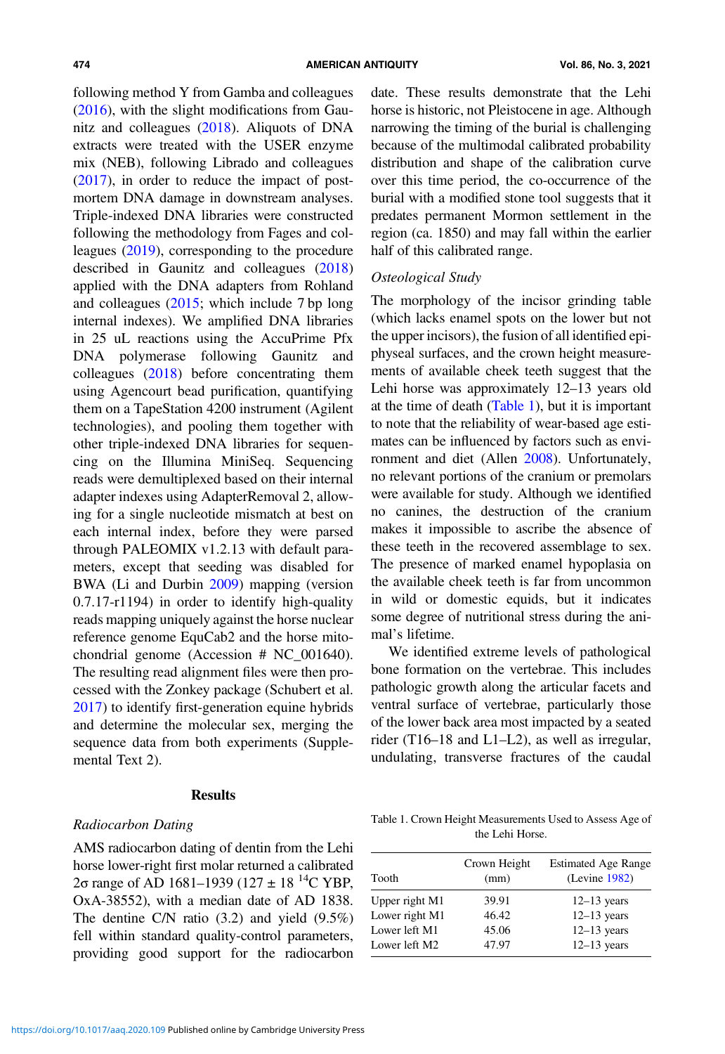following method Y from Gamba and colleagues [\(2016](#page-17-0)), with the slight modifications from Gaunitz and colleagues ([2018](#page-17-0)). Aliquots of DNA extracts were treated with the USER enzyme mix (NEB), following Librado and colleagues [\(2017](#page-18-0)), in order to reduce the impact of postmortem DNA damage in downstream analyses. Triple-indexed DNA libraries were constructed following the methodology from Fages and colleagues [\(2019](#page-16-0)), corresponding to the procedure described in Gaunitz and colleagues [\(2018](#page-17-0)) applied with the DNA adapters from Rohland and colleagues [\(2015;](#page-19-0) which include 7 bp long internal indexes). We amplified DNA libraries in 25 uL reactions using the AccuPrime Pfx DNA polymerase following Gaunitz and colleagues [\(2018](#page-17-0)) before concentrating them using Agencourt bead purification, quantifying them on a TapeStation 4200 instrument (Agilent technologies), and pooling them together with other triple-indexed DNA libraries for sequencing on the Illumina MiniSeq. Sequencing reads were demultiplexed based on their internal adapter indexes using AdapterRemoval 2, allowing for a single nucleotide mismatch at best on each internal index, before they were parsed through PALEOMIX v1.2.13 with default parameters, except that seeding was disabled for BWA (Li and Durbin [2009](#page-18-0)) mapping (version 0.7.17-r1194) in order to identify high-quality reads mapping uniquely against the horse nuclear reference genome EquCab2 and the horse mitochondrial genome (Accession # NC\_001640). The resulting read alignment files were then processed with the Zonkey package (Schubert et al. [2017](#page-19-0)) to identify first-generation equine hybrids and determine the molecular sex, merging the sequence data from both experiments (Supplemental Text 2).

## **Results**

## Radiocarbon Dating

AMS radiocarbon dating of dentin from the Lehi horse lower-right first molar returned a calibrated 2σ range of AD 1681–1939 (127 ± 18<sup>14</sup>C YBP, OxA-38552), with a median date of AD 1838. The dentine C/N ratio (3.2) and yield (9.5%) fell within standard quality-control parameters, providing good support for the radiocarbon date. These results demonstrate that the Lehi horse is historic, not Pleistocene in age. Although narrowing the timing of the burial is challenging because of the multimodal calibrated probability distribution and shape of the calibration curve over this time period, the co-occurrence of the burial with a modified stone tool suggests that it predates permanent Mormon settlement in the region (ca. 1850) and may fall within the earlier half of this calibrated range.

## Osteological Study

The morphology of the incisor grinding table (which lacks enamel spots on the lower but not the upper incisors), the fusion of all identified epiphyseal surfaces, and the crown height measurements of available cheek teeth suggest that the Lehi horse was approximately 12–13 years old at the time of death (Table 1), but it is important to note that the reliability of wear-based age estimates can be influenced by factors such as environment and diet (Allen [2008\)](#page-16-0). Unfortunately, no relevant portions of the cranium or premolars were available for study. Although we identified no canines, the destruction of the cranium makes it impossible to ascribe the absence of these teeth in the recovered assemblage to sex. The presence of marked enamel hypoplasia on the available cheek teeth is far from uncommon in wild or domestic equids, but it indicates some degree of nutritional stress during the animal's lifetime.

We identified extreme levels of pathological bone formation on the vertebrae. This includes pathologic growth along the articular facets and ventral surface of vertebrae, particularly those of the lower back area most impacted by a seated rider (T16–18 and L1–L2), as well as irregular, undulating, transverse fractures of the caudal

Table 1. Crown Height Measurements Used to Assess Age of the Lehi Horse.

| Tooth          | Crown Height<br>(mm) | <b>Estimated Age Range</b><br>(Levine 1982) |  |  |
|----------------|----------------------|---------------------------------------------|--|--|
| Upper right M1 | 39.91                | $12-13$ years                               |  |  |
| Lower right M1 | 46.42                | $12-13$ years                               |  |  |
| Lower left M1  | 45.06                | $12-13$ years                               |  |  |
| Lower left M2  | 47.97                | $12-13$ years                               |  |  |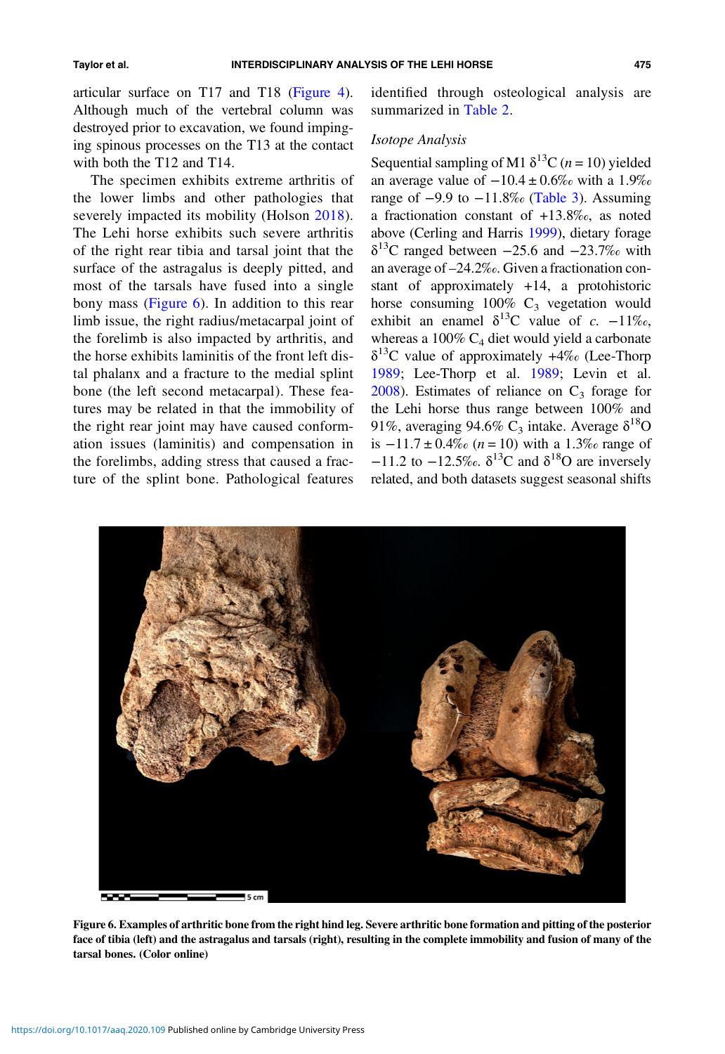articular surface on T17 and T18 [\(Figure 4\)](#page-4-0). Although much of the vertebral column was destroyed prior to excavation, we found impinging spinous processes on the T13 at the contact with both the T12 and T14.

The specimen exhibits extreme arthritis of the lower limbs and other pathologies that severely impacted its mobility (Holson [2018\)](#page-17-0). The Lehi horse exhibits such severe arthritis of the right rear tibia and tarsal joint that the surface of the astragalus is deeply pitted, and most of the tarsals have fused into a single bony mass (Figure 6). In addition to this rear limb issue, the right radius/metacarpal joint of the forelimb is also impacted by arthritis, and the horse exhibits laminitis of the front left distal phalanx and a fracture to the medial splint bone (the left second metacarpal). These features may be related in that the immobility of the right rear joint may have caused conformation issues (laminitis) and compensation in the forelimbs, adding stress that caused a fracture of the splint bone. Pathological features

identified through osteological analysis are summarized in [Table 2](#page-11-0).

## Isotope Analysis

Sequential sampling of M1  $\delta^{13}C$  (*n* = 10) yielded an average value of  $-10.4 \pm 0.6\%$  with a 1.9‰ range of  $-9.9$  to  $-11.8\%$  ([Table 3\)](#page-11-0). Assuming a fractionation constant of +13.8‰, as noted above (Cerling and Harris [1999\)](#page-16-0), dietary forage  $\delta^{13}$ C ranged between −25.6 and −23.7‰ with an average of –24.2‰. Given a fractionation constant of approximately +14, a protohistoric horse consuming  $100\%$  C<sub>3</sub> vegetation would exhibit an enamel  $\delta^{13}$ C value of c. -11‰, whereas a  $100\%$  C<sub>4</sub> diet would yield a carbonate  $\delta^{13}$ C value of approximately +4‰ (Lee-Thorp [1989;](#page-18-0) Lee-Thorp et al. [1989](#page-18-0); Levin et al.  $2008$ ). Estimates of reliance on  $C_3$  forage for the Lehi horse thus range between 100% and 91%, averaging 94.6% C<sub>3</sub> intake. Average  $\delta^{18}O$ is  $-11.7 \pm 0.4\%$  (n = 10) with a 1.3‰ range of  $-11.2$  to  $-12.5\%$ .  $\delta^{13}$ C and  $\delta^{18}$ O are inversely related, and both datasets suggest seasonal shifts



Figure 6. Examples of arthritic bone from the right hind leg. Severe arthritic bone formation and pitting of the posterior face of tibia (left) and the astragalus and tarsals (right), resulting in the complete immobility and fusion of many of the tarsal bones. (Color online)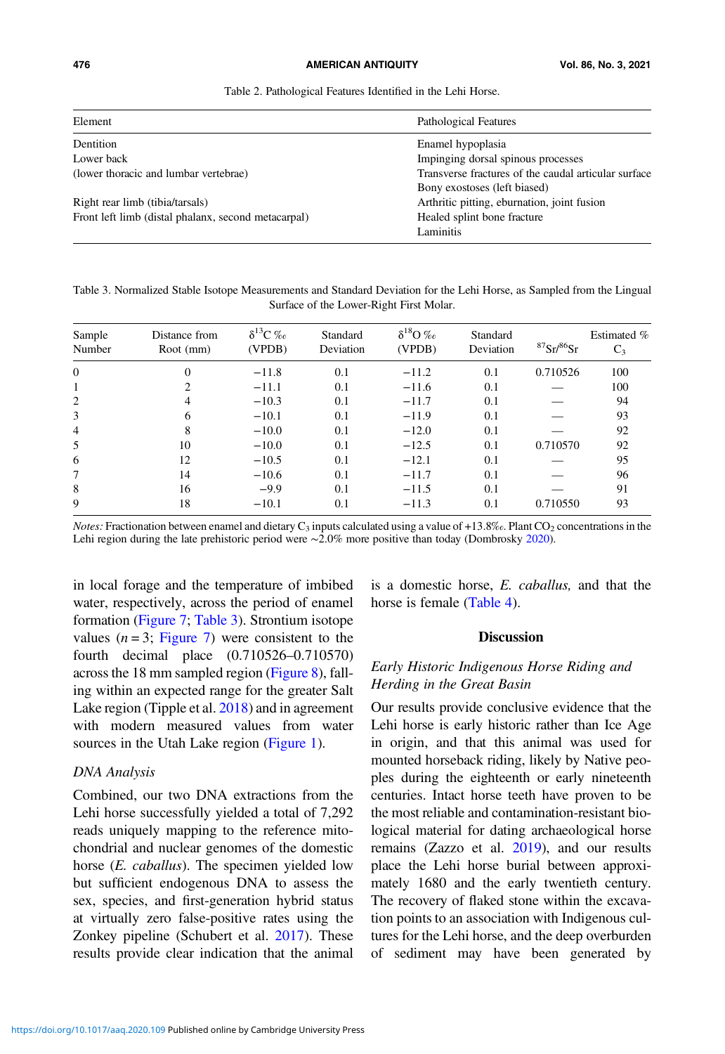#### <span id="page-11-0"></span>476 AMERICAN ANTIQUITY Vol. 86, No. 3, 2021

Table 2. Pathological Features Identified in the Lehi Horse.

| Element                                             | Pathological Features                                |  |  |  |
|-----------------------------------------------------|------------------------------------------------------|--|--|--|
| Dentition                                           | Enamel hypoplasia                                    |  |  |  |
| Lower back                                          | Impinging dorsal spinous processes                   |  |  |  |
| (lower thoracic and lumbar vertebrae)               | Transverse fractures of the caudal articular surface |  |  |  |
|                                                     | Bony exostoses (left biased)                         |  |  |  |
| Right rear limb (tibia/tarsals)                     | Arthritic pitting, eburnation, joint fusion          |  |  |  |
| Front left limb (distal phalanx, second metacarpal) | Healed splint bone fracture                          |  |  |  |
|                                                     | Laminitis                                            |  |  |  |

Table 3. Normalized Stable Isotope Measurements and Standard Deviation for the Lehi Horse, as Sampled from the Lingual Surface of the Lower-Right First Molar.

| Sample<br>Number | Distance from<br>Root (mm) | $\delta^{13}C$ ‰<br>(VPDB) | Standard<br>Deviation | $\delta^{18}O$ ‰<br>(VPDB) | Standard<br>Deviation | ${}^{87}Sr/{}^{86}Sr$ | Estimated %<br>$C_3$ |
|------------------|----------------------------|----------------------------|-----------------------|----------------------------|-----------------------|-----------------------|----------------------|
| $\theta$         | $\Omega$                   | $-11.8$                    | 0.1                   | $-11.2$                    | 0.1                   | 0.710526              | 100                  |
| $\overline{1}$   | 2                          | $-11.1$                    | 0.1                   | $-11.6$                    | 0.1                   |                       | 100                  |
| 2                | 4                          | $-10.3$                    | 0.1                   | $-11.7$                    | 0.1                   |                       | 94                   |
| 3                | 6                          | $-10.1$                    | 0.1                   | $-11.9$                    | 0.1                   |                       | 93                   |
| $\overline{4}$   | 8                          | $-10.0$                    | 0.1                   | $-12.0$                    | 0.1                   |                       | 92                   |
| 5                | 10                         | $-10.0$                    | 0.1                   | $-12.5$                    | 0.1                   | 0.710570              | 92                   |
| 6                | 12                         | $-10.5$                    | 0.1                   | $-12.1$                    | 0.1                   |                       | 95                   |
| 7                | 14                         | $-10.6$                    | 0.1                   | $-11.7$                    | 0.1                   |                       | 96                   |
| 8                | 16                         | $-9.9$                     | 0.1                   | $-11.5$                    | 0.1                   |                       | 91                   |
| 9                | 18                         | $-10.1$                    | 0.1                   | $-11.3$                    | 0.1                   | 0.710550              | 93                   |

*Notes:* Fractionation between enamel and dietary  $C_3$  inputs calculated using a value of +13.8‰. Plant CO<sub>2</sub> concentrations in the Lehi region during the late prehistoric period were ∼2.0% more positive than today (Dombrosky [2020](#page-16-0)).

in local forage and the temperature of imbibed water, respectively, across the period of enamel formation ([Figure 7;](#page-12-0) Table 3). Strontium isotope values  $(n=3; \text{ Figure 7})$  were consistent to the fourth decimal place (0.710526–0.710570) across the 18 mm sampled region ([Figure 8\)](#page-12-0), falling within an expected range for the greater Salt Lake region (Tipple et al. [2018\)](#page-20-0) and in agreement with modern measured values from water sources in the Utah Lake region [\(Figure 1\)](#page-2-0).

## DNA Analysis

Combined, our two DNA extractions from the Lehi horse successfully yielded a total of 7,292 reads uniquely mapping to the reference mitochondrial and nuclear genomes of the domestic horse (*E. caballus*). The specimen yielded low but sufficient endogenous DNA to assess the sex, species, and first-generation hybrid status at virtually zero false-positive rates using the Zonkey pipeline (Schubert et al. [2017\)](#page-19-0). These results provide clear indication that the animal is a domestic horse, E. caballus, and that the horse is female ([Table 4](#page-13-0)).

#### **Discussion**

## Early Historic Indigenous Horse Riding and Herding in the Great Basin

Our results provide conclusive evidence that the Lehi horse is early historic rather than Ice Age in origin, and that this animal was used for mounted horseback riding, likely by Native peoples during the eighteenth or early nineteenth centuries. Intact horse teeth have proven to be the most reliable and contamination-resistant biological material for dating archaeological horse remains (Zazzo et al. [2019\)](#page-20-0), and our results place the Lehi horse burial between approximately 1680 and the early twentieth century. The recovery of flaked stone within the excavation points to an association with Indigenous cultures for the Lehi horse, and the deep overburden of sediment may have been generated by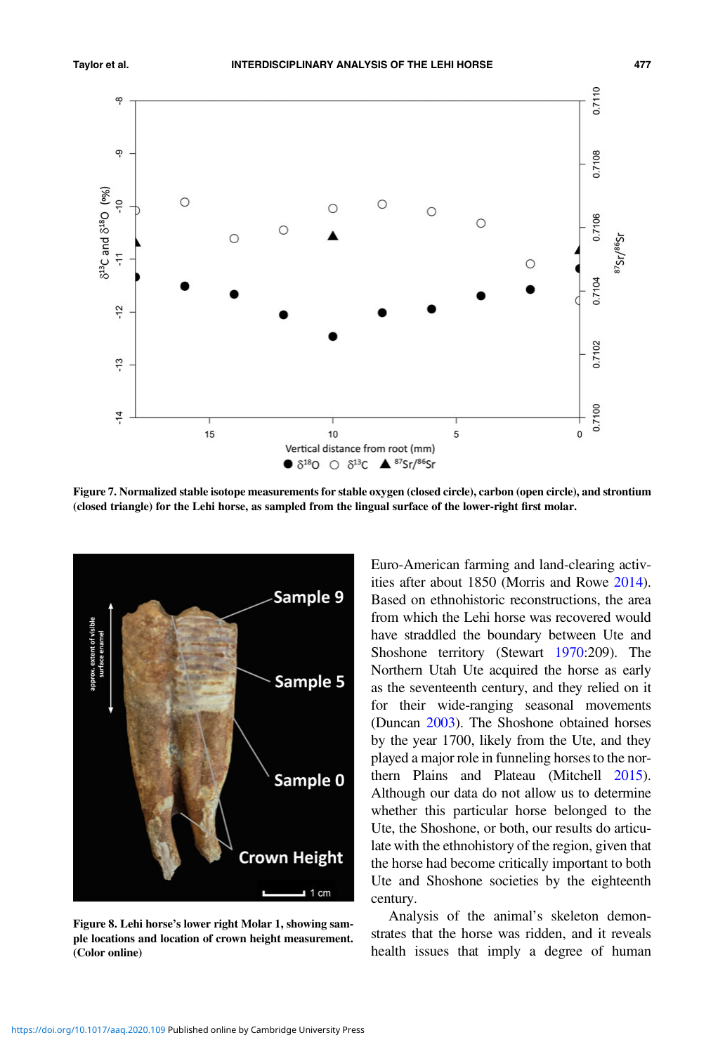<span id="page-12-0"></span>

Figure 7. Normalized stable isotope measurements for stable oxygen (closed circle), carbon (open circle), and strontium (closed triangle) for the Lehi horse, as sampled from the lingual surface of the lower-right first molar.



Figure 8. Lehi horse's lower right Molar 1, showing sample locations and location of crown height measurement. (Color online)

Euro-American farming and land-clearing activities after about 1850 (Morris and Rowe [2014](#page-18-0)). Based on ethnohistoric reconstructions, the area from which the Lehi horse was recovered would have straddled the boundary between Ute and Shoshone territory (Stewart [1970:](#page-19-0)209). The Northern Utah Ute acquired the horse as early as the seventeenth century, and they relied on it for their wide-ranging seasonal movements (Duncan [2003](#page-16-0)). The Shoshone obtained horses by the year 1700, likely from the Ute, and they played a major role in funneling horses to the northern Plains and Plateau (Mitchell [2015](#page-18-0)). Although our data do not allow us to determine whether this particular horse belonged to the Ute, the Shoshone, or both, our results do articulate with the ethnohistory of the region, given that the horse had become critically important to both Ute and Shoshone societies by the eighteenth century.

Analysis of the animal's skeleton demonstrates that the horse was ridden, and it reveals health issues that imply a degree of human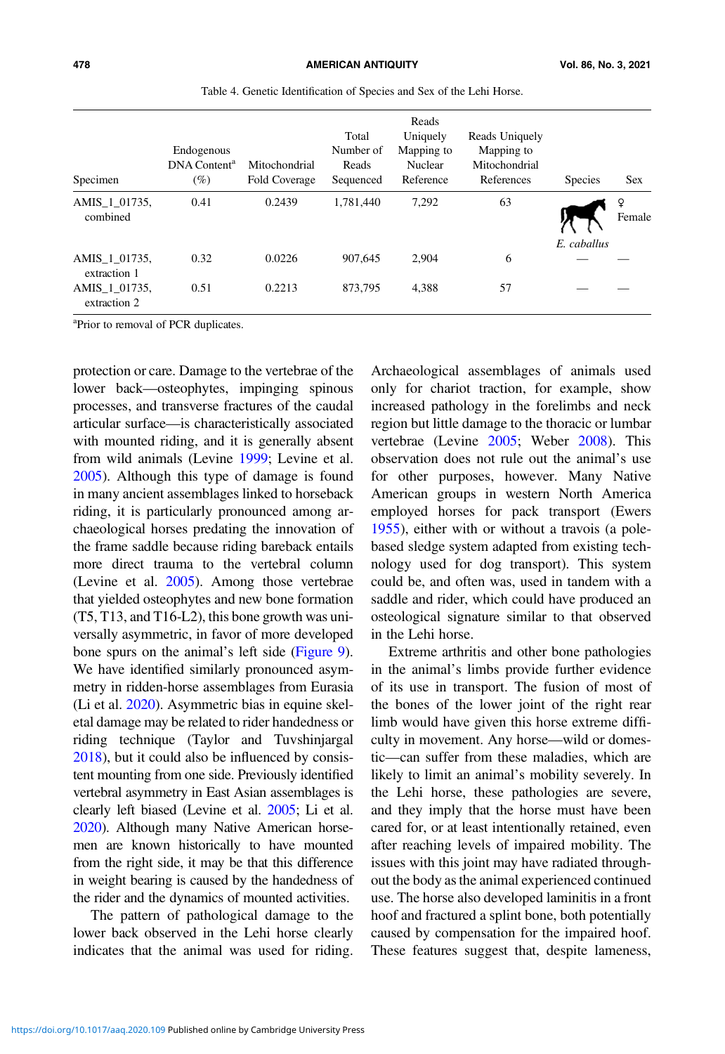<span id="page-13-0"></span>

| Specimen                      | Endogenous<br>DNA Content <sup>a</sup><br>(%) | Mitochondrial<br>Fold Coverage | Total<br>Number of<br>Reads<br>Sequenced | Reads<br>Uniquely<br>Mapping to<br>Nuclear<br>Reference | Reads Uniquely<br>Mapping to<br>Mitochondrial<br>References | <b>Species</b> | <b>Sex</b> |
|-------------------------------|-----------------------------------------------|--------------------------------|------------------------------------------|---------------------------------------------------------|-------------------------------------------------------------|----------------|------------|
| AMIS 1 01735,<br>combined     | 0.41                                          | 0.2439                         | 1,781,440                                | 7,292                                                   | 63                                                          | E. caballus    | Female     |
| AMIS_1_01735,<br>extraction 1 | 0.32                                          | 0.0226                         | 907.645                                  | 2.904                                                   | 6                                                           |                |            |
| AMIS 1 01735,<br>extraction 2 | 0.51                                          | 0.2213                         | 873.795                                  | 4,388                                                   | 57                                                          |                |            |

Table 4. Genetic Identification of Species and Sex of the Lehi Horse.

<sup>a</sup>Prior to removal of PCR duplicates.

protection or care. Damage to the vertebrae of the lower back—osteophytes, impinging spinous processes, and transverse fractures of the caudal articular surface—is characteristically associated with mounted riding, and it is generally absent from wild animals (Levine [1999](#page-18-0); Levine et al. [2005\)](#page-18-0). Although this type of damage is found in many ancient assemblages linked to horseback riding, it is particularly pronounced among archaeological horses predating the innovation of the frame saddle because riding bareback entails more direct trauma to the vertebral column (Levine et al. [2005](#page-18-0)). Among those vertebrae that yielded osteophytes and new bone formation (T5, T13, and T16-L2), this bone growth was universally asymmetric, in favor of more developed bone spurs on the animal's left side ([Figure 9\)](#page-14-0). We have identified similarly pronounced asymmetry in ridden-horse assemblages from Eurasia (Li et al. [2020](#page-18-0)). Asymmetric bias in equine skeletal damage may be related to rider handedness or riding technique (Taylor and Tuvshinjargal [2018\)](#page-20-0), but it could also be influenced by consistent mounting from one side. Previously identified vertebral asymmetry in East Asian assemblages is clearly left biased (Levine et al. [2005](#page-18-0); Li et al. [2020](#page-18-0)). Although many Native American horsemen are known historically to have mounted from the right side, it may be that this difference in weight bearing is caused by the handedness of the rider and the dynamics of mounted activities.

The pattern of pathological damage to the lower back observed in the Lehi horse clearly indicates that the animal was used for riding.

Archaeological assemblages of animals used only for chariot traction, for example, show increased pathology in the forelimbs and neck region but little damage to the thoracic or lumbar vertebrae (Levine [2005](#page-18-0); Weber [2008](#page-20-0)). This observation does not rule out the animal's use for other purposes, however. Many Native American groups in western North America employed horses for pack transport (Ewers [1955\)](#page-16-0), either with or without a travois (a polebased sledge system adapted from existing technology used for dog transport). This system could be, and often was, used in tandem with a saddle and rider, which could have produced an osteological signature similar to that observed in the Lehi horse.

Extreme arthritis and other bone pathologies in the animal's limbs provide further evidence of its use in transport. The fusion of most of the bones of the lower joint of the right rear limb would have given this horse extreme difficulty in movement. Any horse—wild or domestic—can suffer from these maladies, which are likely to limit an animal's mobility severely. In the Lehi horse, these pathologies are severe, and they imply that the horse must have been cared for, or at least intentionally retained, even after reaching levels of impaired mobility. The issues with this joint may have radiated throughout the body as the animal experienced continued use. The horse also developed laminitis in a front hoof and fractured a splint bone, both potentially caused by compensation for the impaired hoof. These features suggest that, despite lameness,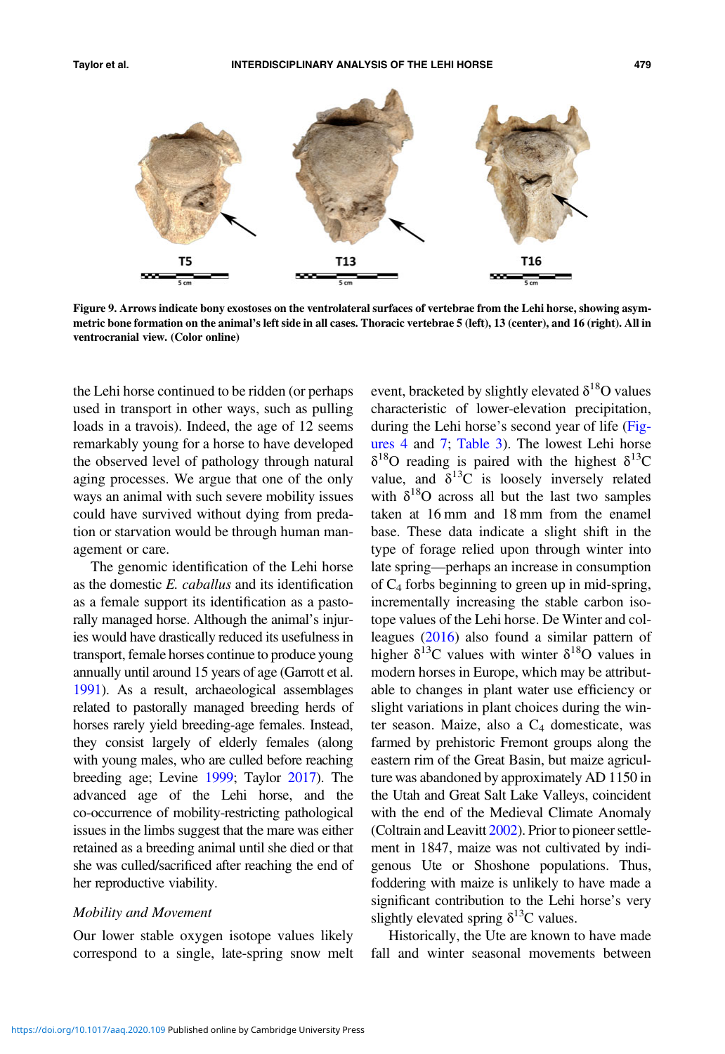<span id="page-14-0"></span>

Figure 9. Arrows indicate bony exostoses on the ventrolateral surfaces of vertebrae from the Lehi horse, showing asymmetric bone formation on the animal's left side in all cases. Thoracic vertebrae 5 (left), 13 (center), and 16 (right). All in ventrocranial view. (Color online)

the Lehi horse continued to be ridden (or perhaps used in transport in other ways, such as pulling loads in a travois). Indeed, the age of 12 seems remarkably young for a horse to have developed the observed level of pathology through natural aging processes. We argue that one of the only ways an animal with such severe mobility issues could have survived without dying from predation or starvation would be through human management or care.

The genomic identification of the Lehi horse as the domestic E. caballus and its identification as a female support its identification as a pastorally managed horse. Although the animal's injuries would have drastically reduced its usefulness in transport, female horses continue to produce young annually until around 15 years of age (Garrott et al. [1991](#page-17-0)). As a result, archaeological assemblages related to pastorally managed breeding herds of horses rarely yield breeding-age females. Instead, they consist largely of elderly females (along with young males, who are culled before reaching breeding age; Levine [1999](#page-18-0); Taylor [2017](#page-19-0)). The advanced age of the Lehi horse, and the co-occurrence of mobility-restricting pathological issues in the limbs suggest that the mare was either retained as a breeding animal until she died or that she was culled/sacrificed after reaching the end of her reproductive viability.

### Mobility and Movement

Our lower stable oxygen isotope values likely correspond to a single, late-spring snow melt event, bracketed by slightly elevated  $\delta^{18}O$  values characteristic of lower-elevation precipitation, during the Lehi horse's second year of life ([Fig](#page-4-0)[ures 4](#page-4-0) and [7;](#page-12-0) [Table 3\)](#page-11-0). The lowest Lehi horse  $\delta^{18}$ O reading is paired with the highest  $\delta^{13}$ C value, and  $\delta^{13}$ C is loosely inversely related with  $\delta^{18}$ O across all but the last two samples taken at 16 mm and 18 mm from the enamel base. These data indicate a slight shift in the type of forage relied upon through winter into late spring—perhaps an increase in consumption of  $C_4$  forbs beginning to green up in mid-spring, incrementally increasing the stable carbon isotope values of the Lehi horse. De Winter and colleagues ([2016\)](#page-16-0) also found a similar pattern of higher  $\delta^{13}$ C values with winter  $\delta^{18}$ O values in modern horses in Europe, which may be attributable to changes in plant water use efficiency or slight variations in plant choices during the winter season. Maize, also a  $C_4$  domesticate, was farmed by prehistoric Fremont groups along the eastern rim of the Great Basin, but maize agriculture was abandoned by approximately AD 1150 in the Utah and Great Salt Lake Valleys, coincident with the end of the Medieval Climate Anomaly (Coltrain and Leavitt [2002\)](#page-16-0). Prior to pioneer settlement in 1847, maize was not cultivated by indigenous Ute or Shoshone populations. Thus, foddering with maize is unlikely to have made a significant contribution to the Lehi horse's very slightly elevated spring  $\delta^{13}$ C values.

Historically, the Ute are known to have made fall and winter seasonal movements between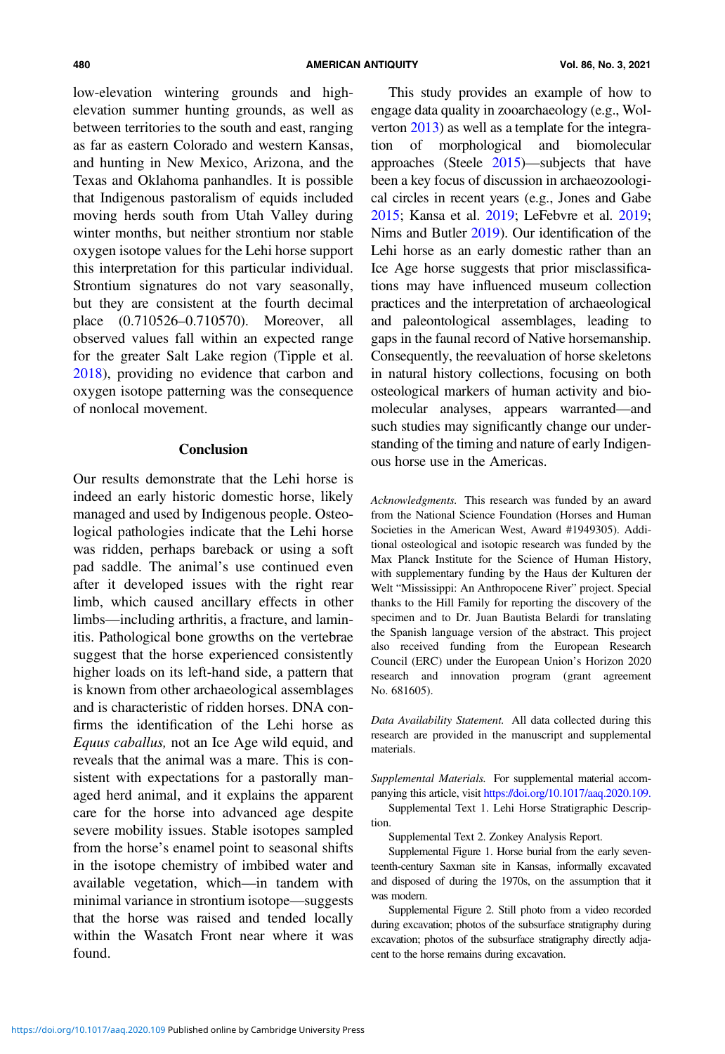low-elevation wintering grounds and highelevation summer hunting grounds, as well as between territories to the south and east, ranging as far as eastern Colorado and western Kansas, and hunting in New Mexico, Arizona, and the Texas and Oklahoma panhandles. It is possible that Indigenous pastoralism of equids included moving herds south from Utah Valley during winter months, but neither strontium nor stable oxygen isotope values for the Lehi horse support this interpretation for this particular individual. Strontium signatures do not vary seasonally, but they are consistent at the fourth decimal place (0.710526–0.710570). Moreover, all observed values fall within an expected range for the greater Salt Lake region (Tipple et al. [2018](#page-20-0)), providing no evidence that carbon and oxygen isotope patterning was the consequence of nonlocal movement.

## Conclusion

Our results demonstrate that the Lehi horse is indeed an early historic domestic horse, likely managed and used by Indigenous people. Osteological pathologies indicate that the Lehi horse was ridden, perhaps bareback or using a soft pad saddle. The animal's use continued even after it developed issues with the right rear limb, which caused ancillary effects in other limbs—including arthritis, a fracture, and laminitis. Pathological bone growths on the vertebrae suggest that the horse experienced consistently higher loads on its left-hand side, a pattern that is known from other archaeological assemblages and is characteristic of ridden horses. DNA confirms the identification of the Lehi horse as Equus caballus, not an Ice Age wild equid, and reveals that the animal was a mare. This is consistent with expectations for a pastorally managed herd animal, and it explains the apparent care for the horse into advanced age despite severe mobility issues. Stable isotopes sampled from the horse's enamel point to seasonal shifts in the isotope chemistry of imbibed water and available vegetation, which—in tandem with minimal variance in strontium isotope—suggests that the horse was raised and tended locally within the Wasatch Front near where it was found.

This study provides an example of how to engage data quality in zooarchaeology (e.g., Wolverton [2013](#page-20-0)) as well as a template for the integration of morphological and biomolecular approaches (Steele [2015\)](#page-19-0)—subjects that have been a key focus of discussion in archaeozoological circles in recent years (e.g., Jones and Gabe [2015](#page-17-0); Kansa et al. [2019](#page-17-0); LeFebvre et al. [2019](#page-18-0); Nims and Butler [2019\)](#page-18-0). Our identification of the Lehi horse as an early domestic rather than an Ice Age horse suggests that prior misclassifications may have influenced museum collection practices and the interpretation of archaeological and paleontological assemblages, leading to gaps in the faunal record of Native horsemanship. Consequently, the reevaluation of horse skeletons in natural history collections, focusing on both osteological markers of human activity and biomolecular analyses, appears warranted—and such studies may significantly change our understanding of the timing and nature of early Indigenous horse use in the Americas.

Acknowledgments. This research was funded by an award from the National Science Foundation (Horses and Human Societies in the American West, Award #1949305). Additional osteological and isotopic research was funded by the Max Planck Institute for the Science of Human History, with supplementary funding by the Haus der Kulturen der Welt "Mississippi: An Anthropocene River" project. Special thanks to the Hill Family for reporting the discovery of the specimen and to Dr. Juan Bautista Belardi for translating the Spanish language version of the abstract. This project also received funding from the European Research Council (ERC) under the European Union's Horizon 2020 research and innovation program (grant agreement No. 681605).

Data Availability Statement. All data collected during this research are provided in the manuscript and supplemental materials.

Supplemental Materials. For supplemental material accompanying this article, visit [https://doi.org/10.1017/aaq.2020.109.](https://doi.org/10.1017/aaq.2020.109)

Supplemental Text 1. Lehi Horse Stratigraphic Description.

Supplemental Text 2. Zonkey Analysis Report.

Supplemental Figure 1. Horse burial from the early seventeenth-century Saxman site in Kansas, informally excavated and disposed of during the 1970s, on the assumption that it was modern.

Supplemental Figure 2. Still photo from a video recorded during excavation; photos of the subsurface stratigraphy during excavation; photos of the subsurface stratigraphy directly adjacent to the horse remains during excavation.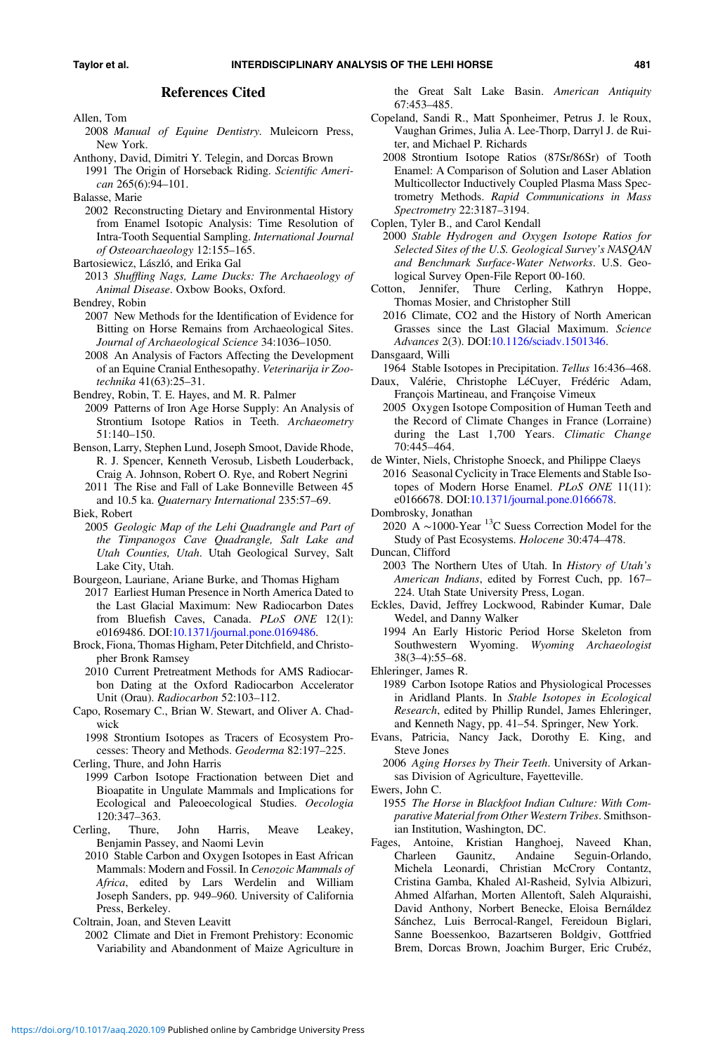#### References Cited

<span id="page-16-0"></span>Allen, Tom

2008 Manual of Equine Dentistry. Muleicorn Press, New York.

Anthony, David, Dimitri Y. Telegin, and Dorcas Brown 1991 The Origin of Horseback Riding. Scientific American 265(6):94–101.

Balasse, Marie

2002 Reconstructing Dietary and Environmental History from Enamel Isotopic Analysis: Time Resolution of Intra-Tooth Sequential Sampling. International Journal of Osteoarchaeology 12:155–165.

2013 Shuffling Nags, Lame Ducks: The Archaeology of Animal Disease. Oxbow Books, Oxford.

Bendrey, Robin

- 2007 New Methods for the Identification of Evidence for Bitting on Horse Remains from Archaeological Sites. Journal of Archaeological Science 34:1036–1050.
- 2008 An Analysis of Factors Affecting the Development of an Equine Cranial Enthesopathy. Veterinarija ir Zootechnika 41(63):25–31.
- Bendrey, Robin, T. E. Hayes, and M. R. Palmer
- 2009 Patterns of Iron Age Horse Supply: An Analysis of Strontium Isotope Ratios in Teeth. Archaeometry 51:140–150.
- Benson, Larry, Stephen Lund, Joseph Smoot, Davide Rhode, R. J. Spencer, Kenneth Verosub, Lisbeth Louderback, Craig A. Johnson, Robert O. Rye, and Robert Negrini
- 2011 The Rise and Fall of Lake Bonneville Between 45 and 10.5 ka. Quaternary International 235:57–69.
- Biek, Robert
- 2005 Geologic Map of the Lehi Quadrangle and Part of the Timpanogos Cave Quadrangle, Salt Lake and Utah Counties, Utah. Utah Geological Survey, Salt Lake City, Utah.

Bourgeon, Lauriane, Ariane Burke, and Thomas Higham

- 2017 Earliest Human Presence in North America Dated to the Last Glacial Maximum: New Radiocarbon Dates from Bluefish Caves, Canada. PLoS ONE 12(1): e0169486. DOI:[10.1371/journal.pone.0169486.](https://doi.org/10.1371/journal.pone.0169486)
- Brock, Fiona, Thomas Higham, Peter Ditchfield, and Christopher Bronk Ramsey

2010 Current Pretreatment Methods for AMS Radiocarbon Dating at the Oxford Radiocarbon Accelerator Unit (Orau). Radiocarbon 52:103–112.

Capo, Rosemary C., Brian W. Stewart, and Oliver A. Chadwick

1998 Strontium Isotopes as Tracers of Ecosystem Processes: Theory and Methods. Geoderma 82:197–225.

Cerling, Thure, and John Harris

- 1999 Carbon Isotope Fractionation between Diet and Bioapatite in Ungulate Mammals and Implications for Ecological and Paleoecological Studies. Oecologia 120:347–363.
- Cerling, Thure, John Harris, Meave Leakey, Benjamin Passey, and Naomi Levin
	- 2010 Stable Carbon and Oxygen Isotopes in East African Mammals: Modern and Fossil. In Cenozoic Mammals of Africa, edited by Lars Werdelin and William Joseph Sanders, pp. 949–960. University of California Press, Berkeley.

Coltrain, Joan, and Steven Leavitt

2002 Climate and Diet in Fremont Prehistory: Economic Variability and Abandonment of Maize Agriculture in the Great Salt Lake Basin. American Antiquity 67:453–485.

- Copeland, Sandi R., Matt Sponheimer, Petrus J. le Roux, Vaughan Grimes, Julia A. Lee-Thorp, Darryl J. de Ruiter, and Michael P. Richards
	- 2008 Strontium Isotope Ratios (87Sr/86Sr) of Tooth Enamel: A Comparison of Solution and Laser Ablation Multicollector Inductively Coupled Plasma Mass Spectrometry Methods. Rapid Communications in Mass Spectrometry 22:3187–3194.

Coplen, Tyler B., and Carol Kendall

- 2000 Stable Hydrogen and Oxygen Isotope Ratios for Selected Sites of the U.S. Geological Survey's NASQAN and Benchmark Surface-Water Networks. U.S. Geological Survey Open-File Report 00-160.
- Cotton, Jennifer, Thure Cerling, Kathryn Hoppe, Thomas Mosier, and Christopher Still
	- 2016 Climate, CO2 and the History of North American Grasses since the Last Glacial Maximum. Science Advances 2(3). DOI:[10.1126/sciadv.1501346.](https://doi.org/10.1126/sciadv.1501346)

Dansgaard, Willi

- 1964 Stable Isotopes in Precipitation. Tellus 16:436–468.
- Daux, Valérie, Christophe LéCuyer, Frédéric Adam, François Martineau, and Françoise Vimeux
- 2005 Oxygen Isotope Composition of Human Teeth and the Record of Climate Changes in France (Lorraine) during the Last 1,700 Years. Climatic Change 70:445–464.
- de Winter, Niels, Christophe Snoeck, and Philippe Claeys 2016 Seasonal Cyclicity in Trace Elements and Stable Isotopes of Modern Horse Enamel. PLoS ONE 11(11): e0166678. DOI[:10.1371/journal.pone.0166678](https://doi.org/10.1371/journal.pone.0166678).

2020 A ∼1000-Year 13C Suess Correction Model for the Study of Past Ecosystems. Holocene 30:474–478.

Duncan, Clifford

- 2003 The Northern Utes of Utah. In History of Utah's American Indians, edited by Forrest Cuch, pp. 167– 224. Utah State University Press, Logan.
- Eckles, David, Jeffrey Lockwood, Rabinder Kumar, Dale Wedel, and Danny Walker
	- 1994 An Early Historic Period Horse Skeleton from Southwestern Wyoming. Wyoming Archaeologist 38(3–4):55–68.
- Ehleringer, James R.
	- 1989 Carbon Isotope Ratios and Physiological Processes in Aridland Plants. In Stable Isotopes in Ecological Research, edited by Phillip Rundel, James Ehleringer, and Kenneth Nagy, pp. 41–54. Springer, New York.
- Evans, Patricia, Nancy Jack, Dorothy E. King, and Steve Jones

2006 Aging Horses by Their Teeth. University of Arkansas Division of Agriculture, Fayetteville.

- 1955 The Horse in Blackfoot Indian Culture: With Comparative Material from Other Western Tribes. Smithsonian Institution, Washington, DC.
- Fages, Antoine, Kristian Hanghoej, Naveed Khan, Charleen Gaunitz, Andaine Seguin-Orlando, Michela Leonardi, Christian McCrory Contantz, Cristina Gamba, Khaled Al-Rasheid, Sylvia Albizuri, Ahmed Alfarhan, Morten Allentoft, Saleh Alquraishi, David Anthony, Norbert Benecke, Eloisa Bernáldez Sánchez, Luis Berrocal-Rangel, Fereidoun Biglari, Sanne Boessenkoo, Bazartseren Boldgiv, Gottfried Brem, Dorcas Brown, Joachim Burger, Eric Crubéz,

Bartosiewicz, László, and Erika Gal

Dombrosky, Jonathan

Ewers, John C.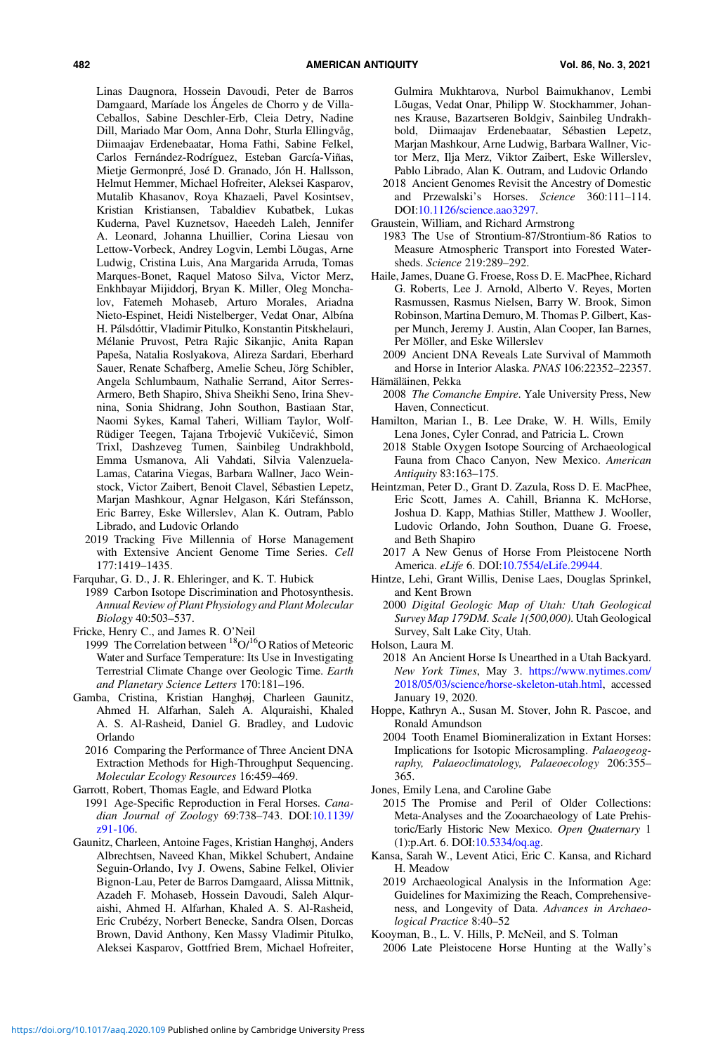<span id="page-17-0"></span>Linas Daugnora, Hossein Davoudi, Peter de Barros Damgaard, Maríade los Ángeles de Chorro y de Villa-Ceballos, Sabine Deschler-Erb, Cleia Detry, Nadine Dill, Mariado Mar Oom, Anna Dohr, Sturla Ellingvåg, Diimaajav Erdenebaatar, Homa Fathi, Sabine Felkel, Carlos Fernández-Rodríguez, Esteban García-Viñas, Mietje Germonpré, José D. Granado, Jón H. Hallsson, Helmut Hemmer, Michael Hofreiter, Aleksei Kasparov, Mutalib Khasanov, Roya Khazaeli, Pavel Kosintsev, Kristian Kristiansen, Tabaldiev Kubatbek, Lukas Kuderna, Pavel Kuznetsov, Haeedeh Laleh, Jennifer A. Leonard, Johanna Lhuillier, Corina Liesau von Lettow-Vorbeck, Andrey Logvin, Lembi Lõugas, Arne Ludwig, Cristina Luis, Ana Margarida Arruda, Tomas Marques-Bonet, Raquel Matoso Silva, Victor Merz, Enkhbayar Mijiddorj, Bryan K. Miller, Oleg Monchalov, Fatemeh Mohaseb, Arturo Morales, Ariadna Nieto-Espinet, Heidi Nistelberger, Vedat Onar, Albína H. Pálsdóttir, Vladimir Pitulko, Konstantin Pitskhelauri, Mélanie Pruvost, Petra Rajic Sikanjic, Anita Rapan Papeša, Natalia Roslyakova, Alireza Sardari, Eberhard Sauer, Renate Schafberg, Amelie Scheu, Jörg Schibler, Angela Schlumbaum, Nathalie Serrand, Aitor Serres-Armero, Beth Shapiro, Shiva Sheikhi Seno, Irina Shevnina, Sonia Shidrang, John Southon, Bastiaan Star, Naomi Sykes, Kamal Taheri, William Taylor, Wolf-Rüdiger Teegen, Tajana Trbojević Vukičević, Simon Trixl, Dashzeveg Tumen, Sainbileg Undrakhbold, Emma Usmanova, Ali Vahdati, Silvia Valenzuela-Lamas, Catarina Viegas, Barbara Wallner, Jaco Weinstock, Victor Zaibert, Benoit Clavel, Sébastien Lepetz, Marjan Mashkour, Agnar Helgason, Kári Stefánsson, Eric Barrey, Eske Willerslev, Alan K. Outram, Pablo Librado, and Ludovic Orlando

- 2019 Tracking Five Millennia of Horse Management with Extensive Ancient Genome Time Series. Cell 177:1419–1435.
- Farquhar, G. D., J. R. Ehleringer, and K. T. Hubick
- 1989 Carbon Isotope Discrimination and Photosynthesis. Annual Review of Plant Physiology and Plant Molecular Biology 40:503–537.
- Fricke, Henry C., and James R. O'Neil
- 1999 The Correlation between  ${}^{18}O/{}^{16}O$  Ratios of Meteoric Water and Surface Temperature: Its Use in Investigating Terrestrial Climate Change over Geologic Time. Earth and Planetary Science Letters 170:181–196.
- Gamba, Cristina, Kristian Hanghøj, Charleen Gaunitz, Ahmed H. Alfarhan, Saleh A. Alquraishi, Khaled A. S. Al-Rasheid, Daniel G. Bradley, and Ludovic Orlando
	- 2016 Comparing the Performance of Three Ancient DNA Extraction Methods for High-Throughput Sequencing. Molecular Ecology Resources 16:459–469.

Garrott, Robert, Thomas Eagle, and Edward Plotka

- 1991 Age-Specific Reproduction in Feral Horses. Canadian Journal of Zoology 69:738–743. DOI[:10.1139/](https://doi.org/10.1139/z91-106) [z91-106](https://doi.org/10.1139/z91-106).
- Gaunitz, Charleen, Antoine Fages, Kristian Hanghøj, Anders Albrechtsen, Naveed Khan, Mikkel Schubert, Andaine Seguin-Orlando, Ivy J. Owens, Sabine Felkel, Olivier Bignon-Lau, Peter de Barros Damgaard, Alissa Mittnik, Azadeh F. Mohaseb, Hossein Davoudi, Saleh Alquraishi, Ahmed H. Alfarhan, Khaled A. S. Al-Rasheid, Eric Crubézy, Norbert Benecke, Sandra Olsen, Dorcas Brown, David Anthony, Ken Massy Vladimir Pitulko, Aleksei Kasparov, Gottfried Brem, Michael Hofreiter,

Gulmira Mukhtarova, Nurbol Baimukhanov, Lembi Lõugas, Vedat Onar, Philipp W. Stockhammer, Johannes Krause, Bazartseren Boldgiv, Sainbileg Undrakhbold, Diimaajav Erdenebaatar, Sébastien Lepetz, Marjan Mashkour, Arne Ludwig, Barbara Wallner, Victor Merz, Ilja Merz, Viktor Zaibert, Eske Willerslev, Pablo Librado, Alan K. Outram, and Ludovic Orlando

- 2018 Ancient Genomes Revisit the Ancestry of Domestic and Przewalski's Horses. Science 360:111–114. DOI:[10.1126/science.aao3297.](https://doi.org/10.1126/science.aao3297)
- Graustein, William, and Richard Armstrong
- 1983 The Use of Strontium-87/Strontium-86 Ratios to Measure Atmospheric Transport into Forested Watersheds. Science 219:289–292.
- Haile, James, Duane G. Froese, Ross D. E. MacPhee, Richard G. Roberts, Lee J. Arnold, Alberto V. Reyes, Morten Rasmussen, Rasmus Nielsen, Barry W. Brook, Simon Robinson, Martina Demuro, M. Thomas P. Gilbert, Kasper Munch, Jeremy J. Austin, Alan Cooper, Ian Barnes, Per Möller, and Eske Willerslev
- 2009 Ancient DNA Reveals Late Survival of Mammoth and Horse in Interior Alaska. PNAS 106:22352–22357. Hämäläinen, Pekka
	- 2008 The Comanche Empire. Yale University Press, New Haven, Connecticut.
- Hamilton, Marian I., B. Lee Drake, W. H. Wills, Emily Lena Jones, Cyler Conrad, and Patricia L. Crown
- 2018 Stable Oxygen Isotope Sourcing of Archaeological Fauna from Chaco Canyon, New Mexico. American Antiquity 83:163–175.
- Heintzman, Peter D., Grant D. Zazula, Ross D. E. MacPhee, Eric Scott, James A. Cahill, Brianna K. McHorse, Joshua D. Kapp, Mathias Stiller, Matthew J. Wooller, Ludovic Orlando, John Southon, Duane G. Froese, and Beth Shapiro
	- 2017 A New Genus of Horse From Pleistocene North America. eLife 6. DOI[:10.7554/eLife.29944.](https://doi.org/10.7554/eLife.29944)
- Hintze, Lehi, Grant Willis, Denise Laes, Douglas Sprinkel, and Kent Brown
	- 2000 Digital Geologic Map of Utah: Utah Geological Survey Map 179DM. Scale 1(500,000). Utah Geological Survey, Salt Lake City, Utah.
- Holson, Laura M.
- 2018 An Ancient Horse Is Unearthed in a Utah Backyard. New York Times, May 3. [https://www.nytimes.com/](https://www.nytimes.com/2018/05/03/science/horse-skeleton-utah.html) [2018/05/03/science/horse-skeleton-utah.html,](https://www.nytimes.com/2018/05/03/science/horse-skeleton-utah.html) accessed January 19, 2020.
- Hoppe, Kathryn A., Susan M. Stover, John R. Pascoe, and Ronald Amundson
	- 2004 Tooth Enamel Biomineralization in Extant Horses: Implications for Isotopic Microsampling. Palaeogeography, Palaeoclimatology, Palaeoecology 206:355– 365.

Jones, Emily Lena, and Caroline Gabe

- 2015 The Promise and Peril of Older Collections: Meta-Analyses and the Zooarchaeology of Late Prehistoric/Early Historic New Mexico. Open Quaternary 1 (1):p.Art. 6. DOI:[10.5334/oq.ag](https://doi.org/10.5334/oq.ag).
- Kansa, Sarah W., Levent Atici, Eric C. Kansa, and Richard H. Meadow
- 2019 Archaeological Analysis in the Information Age: Guidelines for Maximizing the Reach, Comprehensiveness, and Longevity of Data. Advances in Archaeological Practice 8:40–52
- Kooyman, B., L. V. Hills, P. McNeil, and S. Tolman

<sup>2006</sup> Late Pleistocene Horse Hunting at the Wally's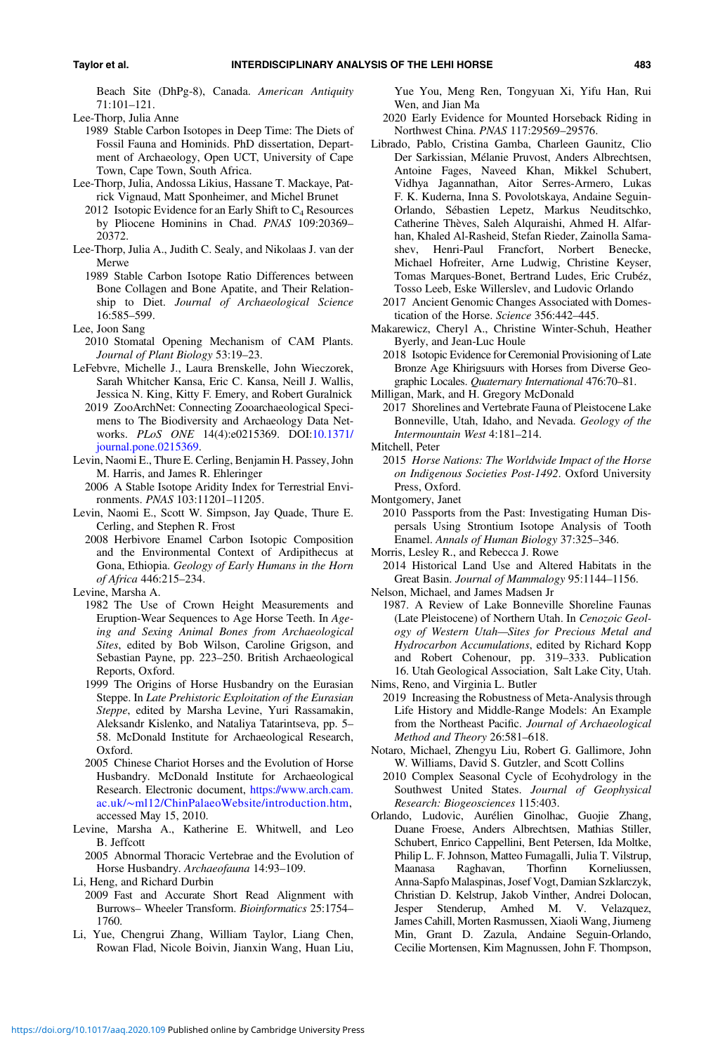<span id="page-18-0"></span>Beach Site (DhPg-8), Canada. American Antiquity 71:101–121.

- 1989 Stable Carbon Isotopes in Deep Time: The Diets of Fossil Fauna and Hominids. PhD dissertation, Department of Archaeology, Open UCT, University of Cape Town, Cape Town, South Africa.
- Lee-Thorp, Julia, Andossa Likius, Hassane T. Mackaye, Patrick Vignaud, Matt Sponheimer, and Michel Brunet
	- 2012 Isotopic Evidence for an Early Shift to  $C_4$  Resources by Pliocene Hominins in Chad. PNAS 109:20369– 20372.
- Lee-Thorp, Julia A., Judith C. Sealy, and Nikolaas J. van der Merwe
	- 1989 Stable Carbon Isotope Ratio Differences between Bone Collagen and Bone Apatite, and Their Relationship to Diet. Journal of Archaeological Science 16:585–599.
- Lee, Joon Sang
- 2010 Stomatal Opening Mechanism of CAM Plants. Journal of Plant Biology 53:19–23.
- LeFebvre, Michelle J., Laura Brenskelle, John Wieczorek, Sarah Whitcher Kansa, Eric C. Kansa, Neill J. Wallis, Jessica N. King, Kitty F. Emery, and Robert Guralnick
	- 2019 ZooArchNet: Connecting Zooarchaeological Specimens to The Biodiversity and Archaeology Data Networks. PLoS ONE 14(4):e0215369. DOI[:10.1371/](https://doi.org/10.1371/journal.pone.0215369) [journal.pone.0215369.](https://doi.org/10.1371/journal.pone.0215369)
- Levin, Naomi E., Thure E. Cerling, Benjamin H. Passey, John M. Harris, and James R. Ehleringer
	- 2006 A Stable Isotope Aridity Index for Terrestrial Environments. PNAS 103:11201–11205.
- Levin, Naomi E., Scott W. Simpson, Jay Quade, Thure E. Cerling, and Stephen R. Frost
	- 2008 Herbivore Enamel Carbon Isotopic Composition and the Environmental Context of Ardipithecus at Gona, Ethiopia. Geology of Early Humans in the Horn of Africa 446:215–234.
- Levine, Marsha A.
	- 1982 The Use of Crown Height Measurements and Eruption-Wear Sequences to Age Horse Teeth. In Ageing and Sexing Animal Bones from Archaeological Sites, edited by Bob Wilson, Caroline Grigson, and Sebastian Payne, pp. 223–250. British Archaeological Reports, Oxford.
	- 1999 The Origins of Horse Husbandry on the Eurasian Steppe. In Late Prehistoric Exploitation of the Eurasian Steppe, edited by Marsha Levine, Yuri Rassamakin, Aleksandr Kislenko, and Nataliya Tatarintseva, pp. 5– 58. McDonald Institute for Archaeological Research, Oxford.
	- 2005 Chinese Chariot Horses and the Evolution of Horse Husbandry. McDonald Institute for Archaeological Research. Electronic document, [https://www.arch.cam.](https://www.arch.cam.ac.uk/∼ml12/ChinPalaeoWebsite/introduction.htm) ac.uk/∼[ml12/ChinPalaeoWebsite/introduction.htm](https://www.arch.cam.ac.uk/∼ml12/ChinPalaeoWebsite/introduction.htm), accessed May 15, 2010.
- Levine, Marsha A., Katherine E. Whitwell, and Leo B. Jeffcott
	- 2005 Abnormal Thoracic Vertebrae and the Evolution of Horse Husbandry. Archaeofauna 14:93–109.
- Li, Heng, and Richard Durbin
- 2009 Fast and Accurate Short Read Alignment with Burrows– Wheeler Transform. Bioinformatics 25:1754– 1760.
- Li, Yue, Chengrui Zhang, William Taylor, Liang Chen, Rowan Flad, Nicole Boivin, Jianxin Wang, Huan Liu,

Yue You, Meng Ren, Tongyuan Xi, Yifu Han, Rui Wen, and Jian Ma

- 2020 Early Evidence for Mounted Horseback Riding in Northwest China. PNAS 117:29569–29576.
- Librado, Pablo, Cristina Gamba, Charleen Gaunitz, Clio Der Sarkissian, Mélanie Pruvost, Anders Albrechtsen, Antoine Fages, Naveed Khan, Mikkel Schubert, Vidhya Jagannathan, Aitor Serres-Armero, Lukas F. K. Kuderna, Inna S. Povolotskaya, Andaine Seguin-Orlando, Sébastien Lepetz, Markus Neuditschko, Catherine Thèves, Saleh Alquraishi, Ahmed H. Alfarhan, Khaled Al-Rasheid, Stefan Rieder, Zainolla Samashev, Henri-Paul Francfort, Norbert Benecke, Michael Hofreiter, Arne Ludwig, Christine Keyser, Tomas Marques-Bonet, Bertrand Ludes, Eric Crubéz, Tosso Leeb, Eske Willerslev, and Ludovic Orlando
	- 2017 Ancient Genomic Changes Associated with Domestication of the Horse. Science 356:442–445.
- Makarewicz, Cheryl A., Christine Winter-Schuh, Heather Byerly, and Jean-Luc Houle
	- 2018 Isotopic Evidence for Ceremonial Provisioning of Late Bronze Age Khirigsuurs with Horses from Diverse Geographic Locales. Quaternary International 476:70–81.

Milligan, Mark, and H. Gregory McDonald

2017 Shorelines and Vertebrate Fauna of Pleistocene Lake Bonneville, Utah, Idaho, and Nevada. Geology of the Intermountain West 4:181–214.

- Mitchell, Peter
	- 2015 Horse Nations: The Worldwide Impact of the Horse on Indigenous Societies Post-1492. Oxford University Press, Oxford.
- Montgomery, Janet
	- 2010 Passports from the Past: Investigating Human Dispersals Using Strontium Isotope Analysis of Tooth Enamel. Annals of Human Biology 37:325–346.

Morris, Lesley R., and Rebecca J. Rowe

2014 Historical Land Use and Altered Habitats in the Great Basin. Journal of Mammalogy 95:1144–1156.

- Nelson, Michael, and James Madsen Jr
- 1987. A Review of Lake Bonneville Shoreline Faunas (Late Pleistocene) of Northern Utah. In Cenozoic Geology of Western Utah—Sites for Precious Metal and Hydrocarbon Accumulations, edited by Richard Kopp and Robert Cohenour, pp. 319–333. Publication 16. Utah Geological Association, Salt Lake City, Utah. Nims, Reno, and Virginia L. Butler
- 2019 Increasing the Robustness of Meta-Analysis through Life History and Middle-Range Models: An Example from the Northeast Pacific. Journal of Archaeological Method and Theory 26:581–618.
- Notaro, Michael, Zhengyu Liu, Robert G. Gallimore, John W. Williams, David S. Gutzler, and Scott Collins
- 2010 Complex Seasonal Cycle of Ecohydrology in the Southwest United States. Journal of Geophysical Research: Biogeosciences 115:403.
- Orlando, Ludovic, Aurélien Ginolhac, Guojie Zhang, Duane Froese, Anders Albrechtsen, Mathias Stiller, Schubert, Enrico Cappellini, Bent Petersen, Ida Moltke, Philip L. F. Johnson, Matteo Fumagalli, Julia T. Vilstrup, Maanasa Raghavan, Thorfinn Korneliussen, Anna-Sapfo Malaspinas, Josef Vogt, Damian Szklarczyk, Christian D. Kelstrup, Jakob Vinther, Andrei Dolocan, Jesper Stenderup, Amhed M. V. Velazquez, James Cahill, Morten Rasmussen, Xiaoli Wang, Jiumeng Min, Grant D. Zazula, Andaine Seguin-Orlando, Cecilie Mortensen, Kim Magnussen, John F. Thompson,

Lee-Thorp, Julia Anne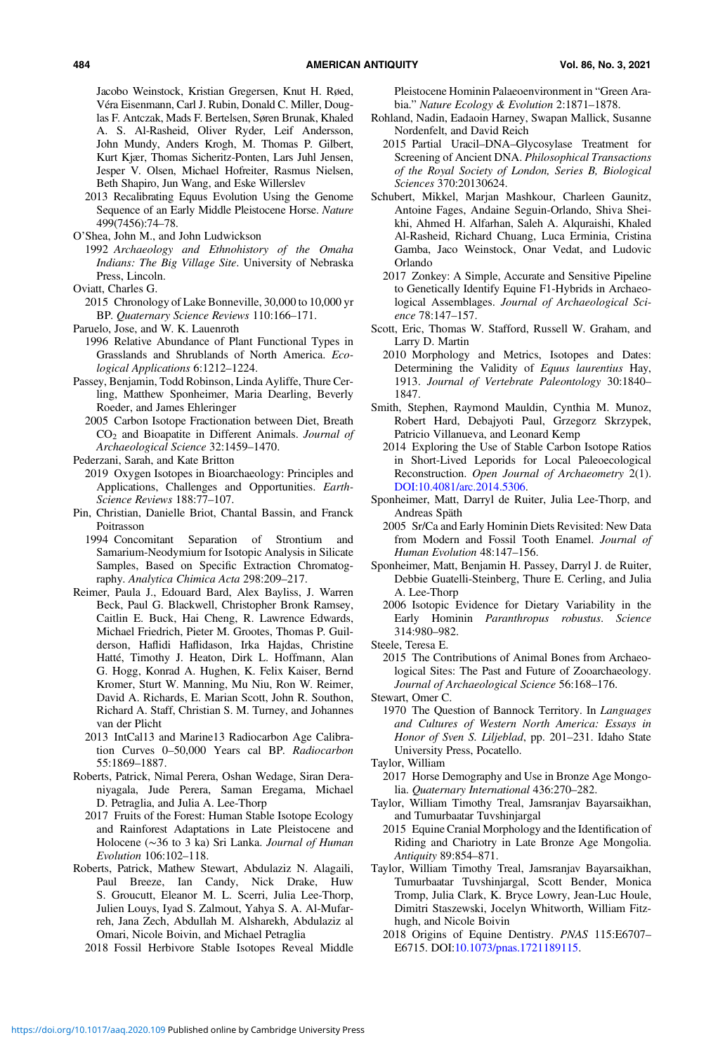<span id="page-19-0"></span>Jacobo Weinstock, Kristian Gregersen, Knut H. Røed, Véra Eisenmann, Carl J. Rubin, Donald C. Miller, Douglas F. Antczak, Mads F. Bertelsen, Søren Brunak, Khaled A. S. Al-Rasheid, Oliver Ryder, Leif Andersson, John Mundy, Anders Krogh, M. Thomas P. Gilbert, Kurt Kjær, Thomas Sicheritz-Ponten, Lars Juhl Jensen, Jesper V. Olsen, Michael Hofreiter, Rasmus Nielsen, Beth Shapiro, Jun Wang, and Eske Willerslev

- 2013 Recalibrating Equus Evolution Using the Genome Sequence of an Early Middle Pleistocene Horse. Nature 499(7456):74–78.
- O'Shea, John M., and John Ludwickson
	- 1992 Archaeology and Ethnohistory of the Omaha Indians: The Big Village Site. University of Nebraska Press, Lincoln.

- 2015 Chronology of Lake Bonneville, 30,000 to 10,000 yr BP. Quaternary Science Reviews 110:166–171.
- Paruelo, Jose, and W. K. Lauenroth
- 1996 Relative Abundance of Plant Functional Types in Grasslands and Shrublands of North America. Ecological Applications 6:1212–1224.
- Passey, Benjamin, Todd Robinson, Linda Ayliffe, Thure Cerling, Matthew Sponheimer, Maria Dearling, Beverly Roeder, and James Ehleringer
	- 2005 Carbon Isotope Fractionation between Diet, Breath  $CO<sub>2</sub>$  and Bioapatite in Different Animals. Journal of Archaeological Science 32:1459–1470.
- Pederzani, Sarah, and Kate Britton
- 2019 Oxygen Isotopes in Bioarchaeology: Principles and Applications, Challenges and Opportunities. Earth-Science Reviews 188:77–107.
- Pin, Christian, Danielle Briot, Chantal Bassin, and Franck Poitrasson
	- 1994 Concomitant Separation of Strontium and Samarium-Neodymium for Isotopic Analysis in Silicate Samples, Based on Specific Extraction Chromatography. Analytica Chimica Acta 298:209–217.
- Reimer, Paula J., Edouard Bard, Alex Bayliss, J. Warren Beck, Paul G. Blackwell, Christopher Bronk Ramsey, Caitlin E. Buck, Hai Cheng, R. Lawrence Edwards, Michael Friedrich, Pieter M. Grootes, Thomas P. Guilderson, Haflidi Haflidason, Irka Hajdas, Christine Hatté, Timothy J. Heaton, Dirk L. Hoffmann, Alan G. Hogg, Konrad A. Hughen, K. Felix Kaiser, Bernd Kromer, Sturt W. Manning, Mu Niu, Ron W. Reimer, David A. Richards, E. Marian Scott, John R. Southon, Richard A. Staff, Christian S. M. Turney, and Johannes van der Plicht
	- 2013 IntCal13 and Marine13 Radiocarbon Age Calibration Curves 0–50,000 Years cal BP. Radiocarbon 55:1869–1887.
- Roberts, Patrick, Nimal Perera, Oshan Wedage, Siran Deraniyagala, Jude Perera, Saman Eregama, Michael D. Petraglia, and Julia A. Lee-Thorp
	- 2017 Fruits of the Forest: Human Stable Isotope Ecology and Rainforest Adaptations in Late Pleistocene and Holocene (∼36 to 3 ka) Sri Lanka. Journal of Human Evolution 106:102–118.
- Roberts, Patrick, Mathew Stewart, Abdulaziz N. Alagaili, Paul Breeze, Ian Candy, Nick Drake, Huw S. Groucutt, Eleanor M. L. Scerri, Julia Lee-Thorp, Julien Louys, Iyad S. Zalmout, Yahya S. A. Al-Mufarreh, Jana Zech, Abdullah M. Alsharekh, Abdulaziz al Omari, Nicole Boivin, and Michael Petraglia
	- 2018 Fossil Herbivore Stable Isotopes Reveal Middle

Pleistocene Hominin Palaeoenvironment in "Green Arabia." Nature Ecology & Evolution 2:1871–1878.

- Rohland, Nadin, Eadaoin Harney, Swapan Mallick, Susanne Nordenfelt, and David Reich
- 2015 Partial Uracil–DNA–Glycosylase Treatment for Screening of Ancient DNA. Philosophical Transactions of the Royal Society of London, Series B, Biological Sciences 370:20130624.
- Schubert, Mikkel, Marjan Mashkour, Charleen Gaunitz, Antoine Fages, Andaine Seguin-Orlando, Shiva Sheikhi, Ahmed H. Alfarhan, Saleh A. Alquraishi, Khaled Al-Rasheid, Richard Chuang, Luca Erminia, Cristina Gamba, Jaco Weinstock, Onar Vedat, and Ludovic Orlando
	- 2017 Zonkey: A Simple, Accurate and Sensitive Pipeline to Genetically Identify Equine F1-Hybrids in Archaeological Assemblages. Journal of Archaeological Science 78:147–157.
- Scott, Eric, Thomas W. Stafford, Russell W. Graham, and Larry D. Martin
	- 2010 Morphology and Metrics, Isotopes and Dates: Determining the Validity of Equus laurentius Hay, 1913. Journal of Vertebrate Paleontology 30:1840– 1847.
- Smith, Stephen, Raymond Mauldin, Cynthia M. Munoz, Robert Hard, Debajyoti Paul, Grzegorz Skrzypek, Patricio Villanueva, and Leonard Kemp
	- 2014 Exploring the Use of Stable Carbon Isotope Ratios in Short-Lived Leporids for Local Paleoecological Reconstruction. Open Journal of Archaeometry 2(1). <DOI:>[10.4081/arc.2014.5306](https://doi.org/10.4081/arc.2014.5306).
- Sponheimer, Matt, Darryl de Ruiter, Julia Lee-Thorp, and Andreas Späth
- 2005 Sr/Ca and Early Hominin Diets Revisited: New Data from Modern and Fossil Tooth Enamel. Journal of Human Evolution 48:147–156.
- Sponheimer, Matt, Benjamin H. Passey, Darryl J. de Ruiter, Debbie Guatelli-Steinberg, Thure E. Cerling, and Julia A. Lee-Thorp
	- 2006 Isotopic Evidence for Dietary Variability in the Early Hominin Paranthropus robustus. Science 314:980–982.
- Steele, Teresa E.

2015 The Contributions of Animal Bones from Archaeological Sites: The Past and Future of Zooarchaeology. Journal of Archaeological Science 56:168–176.

Stewart, Omer C.

- 1970 The Question of Bannock Territory. In Languages and Cultures of Western North America: Essays in Honor of Sven S. Liljeblad, pp. 201–231. Idaho State University Press, Pocatello.
- Taylor, William
	- 2017 Horse Demography and Use in Bronze Age Mongolia. Quaternary International 436:270–282.
- Taylor, William Timothy Treal, Jamsranjav Bayarsaikhan, and Tumurbaatar Tuvshinjargal
	- 2015 Equine Cranial Morphology and the Identification of Riding and Chariotry in Late Bronze Age Mongolia. Antiquity 89:854–871.
- Taylor, William Timothy Treal, Jamsranjav Bayarsaikhan, Tumurbaatar Tuvshinjargal, Scott Bender, Monica Tromp, Julia Clark, K. Bryce Lowry, Jean-Luc Houle, Dimitri Staszewski, Jocelyn Whitworth, William Fitzhugh, and Nicole Boivin
	- 2018 Origins of Equine Dentistry. PNAS 115:E6707– E6715. DOI:[10.1073/pnas.1721189115](https://doi.org/10.1073/pnas.1721189115).

Oviatt, Charles G.